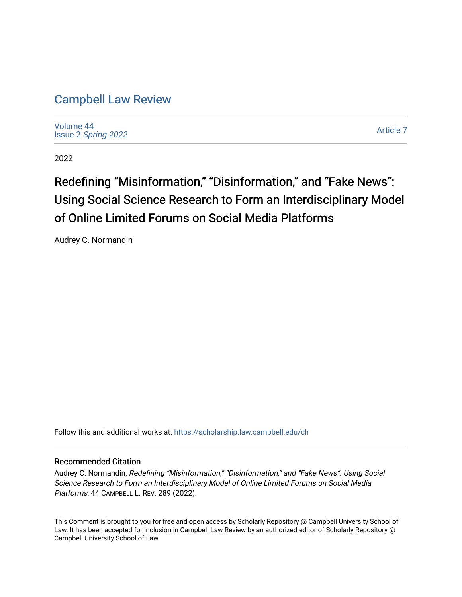# [Campbell Law Review](https://scholarship.law.campbell.edu/clr)

[Volume 44](https://scholarship.law.campbell.edu/clr/vol44) Issue 2 [Spring 2022](https://scholarship.law.campbell.edu/clr/vol44/iss2) 

[Article 7](https://scholarship.law.campbell.edu/clr/vol44/iss2/7) 

2022

# Redefining "Misinformation," "Disinformation," and "Fake News": Using Social Science Research to Form an Interdisciplinary Model of Online Limited Forums on Social Media Platforms

Audrey C. Normandin

Follow this and additional works at: [https://scholarship.law.campbell.edu/clr](https://scholarship.law.campbell.edu/clr?utm_source=scholarship.law.campbell.edu%2Fclr%2Fvol44%2Fiss2%2F7&utm_medium=PDF&utm_campaign=PDFCoverPages) 

#### Recommended Citation

Audrey C. Normandin, Redefining "Misinformation," "Disinformation," and "Fake News": Using Social Science Research to Form an Interdisciplinary Model of Online Limited Forums on Social Media Platforms, 44 CAMPBELL L. REV. 289 (2022).

This Comment is brought to you for free and open access by Scholarly Repository @ Campbell University School of Law. It has been accepted for inclusion in Campbell Law Review by an authorized editor of Scholarly Repository @ Campbell University School of Law.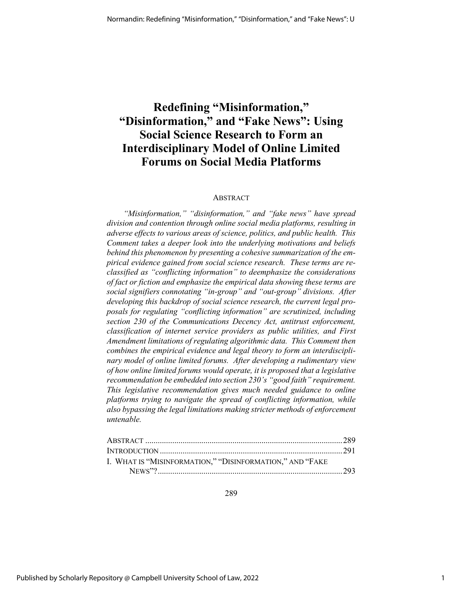# **Redefining "Misinformation," "Disinformation," and "Fake News": Using Social Science Research to Form an Interdisciplinary Model of Online Limited Forums on Social Media Platforms**

#### ABSTRACT

*"Misinformation," "disinformation," and "fake news" have spread division and contention through online social media platforms, resulting in adverse effects to various areas of science, politics, and public health. This Comment takes a deeper look into the underlying motivations and beliefs behind this phenomenon by presenting a cohesive summarization of the empirical evidence gained from social science research. These terms are reclassified as "conflicting information" to deemphasize the considerations of fact or fiction and emphasize the empirical data showing these terms are social signifiers connotating "in-group" and "out-group" divisions. After developing this backdrop of social science research, the current legal proposals for regulating "conflicting information" are scrutinized, including section 230 of the Communications Decency Act, antitrust enforcement, classification of internet service providers as public utilities, and First Amendment limitations of regulating algorithmic data. This Comment then combines the empirical evidence and legal theory to form an interdisciplinary model of online limited forums. After developing a rudimentary view of how online limited forums would operate, it is proposed that a legislative recommendation be embedded into section 230's "good faith" requirement. This legislative recommendation gives much needed guidance to online platforms trying to navigate the spread of conflicting information, while also bypassing the legal limitations making stricter methods of enforcement untenable.*

| I. WHAT IS "MISINFORMATION," "DISINFORMATION," AND "FAKE |  |
|----------------------------------------------------------|--|
|                                                          |  |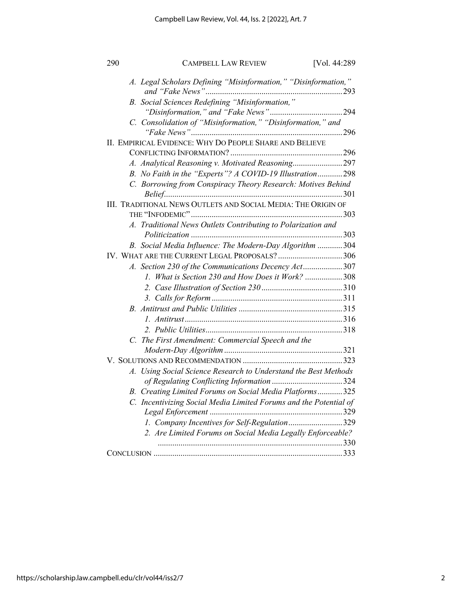| 290 | <b>CAMPBELL LAW REVIEW</b>                                                                              | [Vol. 44:289] |
|-----|---------------------------------------------------------------------------------------------------------|---------------|
|     | A. Legal Scholars Defining "Misinformation," "Disinformation,"                                          |               |
|     | B. Social Sciences Redefining "Misinformation,"                                                         |               |
|     | C. Consolidation of "Misinformation," "Disinformation," and                                             |               |
|     | II. EMPIRICAL EVIDENCE: WHY DO PEOPLE SHARE AND BELIEVE                                                 |               |
|     |                                                                                                         |               |
|     | A. Analytical Reasoning v. Motivated Reasoning297                                                       |               |
|     | B. No Faith in the "Experts"? A COVID-19 Illustration298                                                |               |
|     | C. Borrowing from Conspiracy Theory Research: Motives Behind                                            |               |
|     | III. TRADITIONAL NEWS OUTLETS AND SOCIAL MEDIA: THE ORIGIN OF                                           |               |
|     |                                                                                                         |               |
|     | A. Traditional News Outlets Contributing to Polarization and                                            |               |
|     |                                                                                                         |               |
|     | B. Social Media Influence: The Modern-Day Algorithm 304<br>IV. WHAT ARE THE CURRENT LEGAL PROPOSALS?306 |               |
|     |                                                                                                         |               |
|     | A. Section 230 of the Communications Decency Act307                                                     |               |
|     | 1. What is Section 230 and How Does it Work? 308                                                        |               |
|     |                                                                                                         |               |
|     |                                                                                                         |               |
|     |                                                                                                         |               |
|     |                                                                                                         |               |
|     |                                                                                                         |               |
|     | C. The First Amendment: Commercial Speech and the                                                       |               |
|     |                                                                                                         |               |
|     |                                                                                                         |               |
|     | A. Using Social Science Research to Understand the Best Methods                                         |               |
|     |                                                                                                         |               |
|     | B. Creating Limited Forums on Social Media Platforms325                                                 |               |
|     | C. Incentivizing Social Media Limited Forums and the Potential of<br>Legal Enforcement                  | .329          |
|     | 1. Company Incentives for Self-Regulation329                                                            |               |
|     | 2. Are Limited Forums on Social Media Legally Enforceable?                                              |               |
|     |                                                                                                         |               |
|     |                                                                                                         |               |
|     |                                                                                                         |               |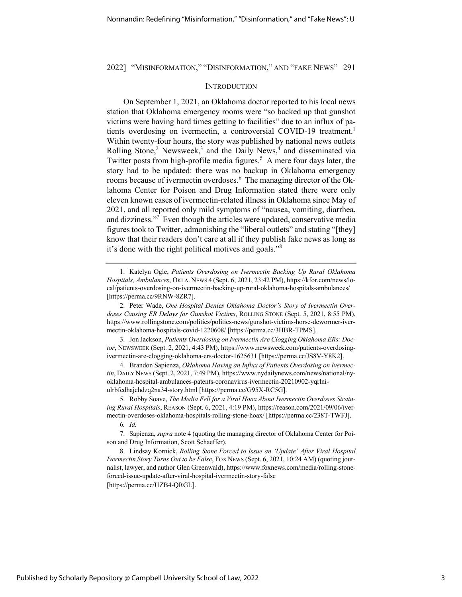#### **INTRODUCTION**

On September 1, 2021, an Oklahoma doctor reported to his local news station that Oklahoma emergency rooms were "so backed up that gunshot victims were having hard times getting to facilities" due to an influx of patients overdosing on ivermectin, a controversial COVID-19 treatment.<sup>1</sup> Within twenty-four hours, the story was published by national news outlets Rolling Stone,<sup>2</sup> Newsweek,<sup>3</sup> and the Daily News,<sup>4</sup> and disseminated via Twitter posts from high-profile media figures.<sup>5</sup> A mere four days later, the story had to be updated: there was no backup in Oklahoma emergency rooms because of ivermectin overdoses.<sup>6</sup> The managing director of the Oklahoma Center for Poison and Drug Information stated there were only eleven known cases of ivermectin-related illness in Oklahoma since May of 2021, and all reported only mild symptoms of "nausea, vomiting, diarrhea, and dizziness."<sup>7</sup> Even though the articles were updated, conservative media figures took to Twitter, admonishing the "liberal outlets" and stating "[they] know that their readers don't care at all if they publish fake news as long as it's done with the right political motives and goals."8

3. Jon Jackson, *Patients Overdosing on Ivermectin Are Clogging Oklahoma ERs: Doctor*, NEWSWEEK (Sept. 2, 2021, 4:43 PM), https://www.newsweek.com/patients-overdosingivermectin-are-clogging-oklahoma-ers-doctor-1625631 [https://perma.cc/JS8V-Y8K2].

4. Brandon Sapienza, *Oklahoma Having an Influx of Patients Overdosing on Ivermectin*, DAILY NEWS (Sept. 2, 2021, 7:49 PM), https://www.nydailynews.com/news/national/nyoklahoma-hospital-ambulances-patents-coronavirus-ivermectin-20210902-yqrlniulrbfcdhajchdzq2na34-story.html [https://perma.cc/G95X-RC5G].

5. Robby Soave, *The Media Fell for a Viral Hoax About Ivermectin Overdoses Straining Rural Hospitals*, REASON (Sept. 6, 2021, 4:19 PM), https://reason.com/2021/09/06/ivermectin-overdoses-oklahoma-hospitals-rolling-stone-hoax/ [https://perma.cc/238T-TWFJ]. 6*. Id.*

7. Sapienza, *supra* note 4 (quoting the managing director of Oklahoma Center for Poison and Drug Information, Scott Schaeffer).

8. Lindsay Kornick, *Rolling Stone Forced to Issue an 'Update' After Viral Hospital Ivermectin Story Turns Out to be False*, FOX NEWS (Sept. 6, 2021, 10:24 AM) (quoting journalist, lawyer, and author Glen Greenwald), https://www.foxnews.com/media/rolling-stoneforced-issue-update-after-viral-hospital-ivermectin-story-false [https://perma.cc/UZB4-QRGL].

<sup>1.</sup> Katelyn Ogle, *Patients Overdosing on Ivermectin Backing Up Rural Oklahoma Hospitals, Ambulances*, OKLA. NEWS 4 (Sept. 6, 2021, 23:42 PM), https://kfor.com/news/local/patients-overdosing-on-ivermectin-backing-up-rural-oklahoma-hospitals-ambulances/ [https://perma.cc/9RNW-8ZR7].

<sup>2.</sup> Peter Wade, *One Hospital Denies Oklahoma Doctor's Story of Ivermectin Overdoses Causing ER Delays for Gunshot Victims*, ROLLING STONE (Sept. 5, 2021, 8:55 PM), https://www.rollingstone.com/politics/politics-news/gunshot-victims-horse-dewormer-ivermectin-oklahoma-hospitals-covid-1220608/ [https://perma.cc/3HBR-TPMS].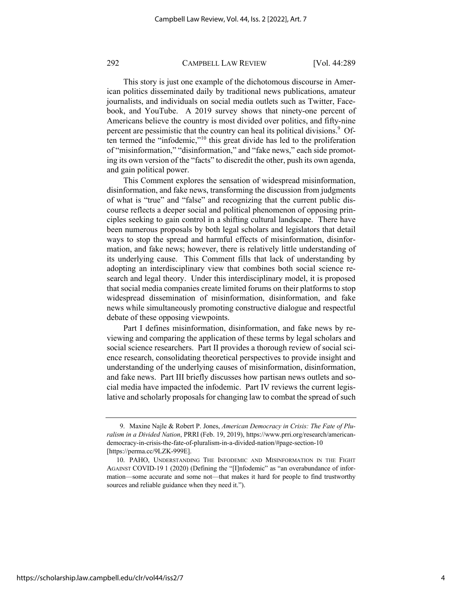This story is just one example of the dichotomous discourse in American politics disseminated daily by traditional news publications, amateur journalists, and individuals on social media outlets such as Twitter, Facebook, and YouTube. A 2019 survey shows that ninety-one percent of Americans believe the country is most divided over politics, and fifty-nine percent are pessimistic that the country can heal its political divisions.<sup>9</sup> Often termed the "infodemic,"<sup>10</sup> this great divide has led to the proliferation of "misinformation," "disinformation," and "fake news," each side promoting its own version of the "facts" to discredit the other, push its own agenda, and gain political power.

This Comment explores the sensation of widespread misinformation, disinformation, and fake news, transforming the discussion from judgments of what is "true" and "false" and recognizing that the current public discourse reflects a deeper social and political phenomenon of opposing principles seeking to gain control in a shifting cultural landscape. There have been numerous proposals by both legal scholars and legislators that detail ways to stop the spread and harmful effects of misinformation, disinformation, and fake news; however, there is relatively little understanding of its underlying cause. This Comment fills that lack of understanding by adopting an interdisciplinary view that combines both social science research and legal theory. Under this interdisciplinary model, it is proposed that social media companies create limited forums on their platforms to stop widespread dissemination of misinformation, disinformation, and fake news while simultaneously promoting constructive dialogue and respectful debate of these opposing viewpoints.

Part I defines misinformation, disinformation, and fake news by reviewing and comparing the application of these terms by legal scholars and social science researchers. Part II provides a thorough review of social science research, consolidating theoretical perspectives to provide insight and understanding of the underlying causes of misinformation, disinformation, and fake news. Part III briefly discusses how partisan news outlets and social media have impacted the infodemic. Part IV reviews the current legislative and scholarly proposals for changing law to combat the spread of such

https://scholarship.law.campbell.edu/clr/vol44/iss2/7

<sup>9.</sup> Maxine Najle & Robert P. Jones, *American Democracy in Crisis: The Fate of Pluralism in a Divided Nation*, PRRI (Feb. 19, 2019), https://www.prri.org/research/americandemocracy-in-crisis-the-fate-of-pluralism-in-a-divided-nation/#page-section-10 [https://perma.cc/9LZK-999E].

<sup>10.</sup> PAHO, UNDERSTANDING THE INFODEMIC AND MISINFORMATION IN THE FIGHT AGAINST COVID-19 1 (2020) (Defining the "[I]nfodemic" as "an overabundance of information—some accurate and some not—that makes it hard for people to find trustworthy sources and reliable guidance when they need it.").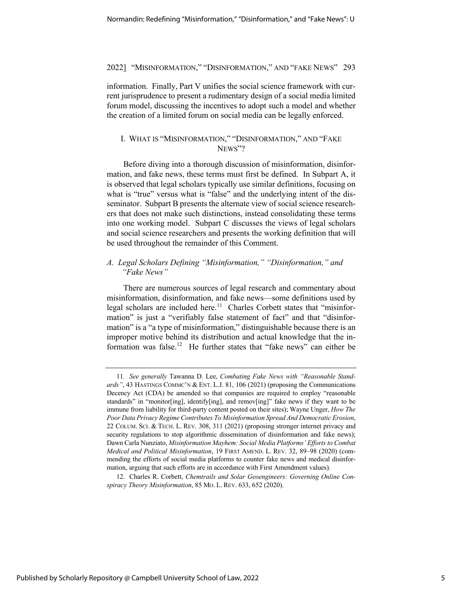information. Finally, Part V unifies the social science framework with current jurisprudence to present a rudimentary design of a social media limited forum model, discussing the incentives to adopt such a model and whether the creation of a limited forum on social media can be legally enforced.

#### I. WHAT IS "MISINFORMATION," "DISINFORMATION," AND "FAKE NEWS"?

Before diving into a thorough discussion of misinformation, disinformation, and fake news, these terms must first be defined. In Subpart A, it is observed that legal scholars typically use similar definitions, focusing on what is "true" versus what is "false" and the underlying intent of the disseminator. Subpart B presents the alternate view of social science researchers that does not make such distinctions, instead consolidating these terms into one working model. Subpart C discusses the views of legal scholars and social science researchers and presents the working definition that will be used throughout the remainder of this Comment.

#### *A. Legal Scholars Defining "Misinformation," "Disinformation," and "Fake News"*

There are numerous sources of legal research and commentary about misinformation, disinformation, and fake news—some definitions used by legal scholars are included here.<sup>11</sup> Charles Corbett states that "misinformation" is just a "verifiably false statement of fact" and that "disinformation" is a "a type of misinformation," distinguishable because there is an improper motive behind its distribution and actual knowledge that the information was false.<sup>12</sup> He further states that "fake news" can either be

<sup>11</sup>*. See generally* Tawanna D. Lee, *Combating Fake News with "Reasonable Standards"*, 43 HASTINGS COMMC'N & ENT. L.J. 81, 106 (2021) (proposing the Communications Decency Act (CDA) be amended so that companies are required to employ "reasonable standards" in "monitor[ing], identify[ing], and remov[ing]" fake news if they want to be immune from liability for third-party content posted on their sites); Wayne Unger, *How The Poor Data Privacy Regime Contributes To Misinformation Spread And Democratic Erosion*, 22 COLUM. SCI. & TECH. L. REV. 308, 311 (2021) (proposing stronger internet privacy and security regulations to stop algorithmic dissemination of disinformation and fake news); Dawn Carla Nunziato, *Misinformation Mayhem: Social Media Platforms' Efforts to Combat Medical and Political Misinformation*, 19 FIRST AMEND. L. REV. 32, 89–98 (2020) (commending the efforts of social media platforms to counter fake news and medical disinformation, arguing that such efforts are in accordance with First Amendment values).

<sup>12.</sup> Charles R. Corbett, *Chemtrails and Solar Geoengineers: Governing Online Conspiracy Theory Misinformation*, 85 MO. L. REV. 633, 652 (2020).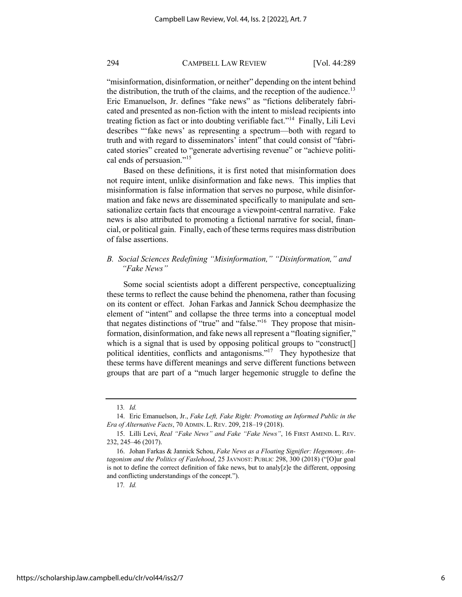"misinformation, disinformation, or neither" depending on the intent behind the distribution, the truth of the claims, and the reception of the audience.<sup>13</sup> Eric Emanuelson, Jr. defines "fake news" as "fictions deliberately fabricated and presented as non-fiction with the intent to mislead recipients into treating fiction as fact or into doubting verifiable fact."14 Finally, Lili Levi describes "'fake news' as representing a spectrum—both with regard to truth and with regard to disseminators' intent" that could consist of "fabricated stories" created to "generate advertising revenue" or "achieve political ends of persuasion."<sup>15</sup>

Based on these definitions, it is first noted that misinformation does not require intent, unlike disinformation and fake news. This implies that misinformation is false information that serves no purpose, while disinformation and fake news are disseminated specifically to manipulate and sensationalize certain facts that encourage a viewpoint-central narrative. Fake news is also attributed to promoting a fictional narrative for social, financial, or political gain. Finally, each of these terms requires mass distribution of false assertions.

#### *B. Social Sciences Redefining "Misinformation," "Disinformation," and "Fake News"*

Some social scientists adopt a different perspective, conceptualizing these terms to reflect the cause behind the phenomena, rather than focusing on its content or effect. Johan Farkas and Jannick Schou deemphasize the element of "intent" and collapse the three terms into a conceptual model that negates distinctions of "true" and "false."<sup>16</sup> They propose that misinformation, disinformation, and fake news all represent a "floating signifier," which is a signal that is used by opposing political groups to "construct. political identities, conflicts and antagonisms."17 They hypothesize that these terms have different meanings and serve different functions between groups that are part of a "much larger hegemonic struggle to define the

<sup>13</sup>*. Id.*

<sup>14.</sup> Eric Emanuelson, Jr., *Fake Left, Fake Right: Promoting an Informed Public in the Era of Alternative Facts*, 70 ADMIN. L. REV. 209, 218–19 (2018).

<sup>15.</sup> Lilli Levi, *Real "Fake News" and Fake "Fake News"*, 16 FIRST AMEND. L. REV. 232, 245–46 (2017).

<sup>16.</sup> Johan Farkas & Jannick Schou, *Fake News as a Floating Signifier: Hegemony, Antagonism and the Politics of Faslehood*, 25 JAVNOST: PUBLIC 298, 300 (2018) ("[O]ur goal is not to define the correct definition of fake news, but to analy[z]e the different, opposing and conflicting understandings of the concept.").

<sup>17</sup>*. Id.*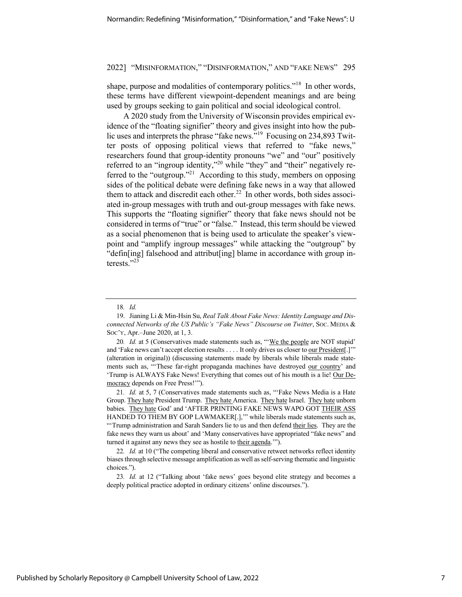shape, purpose and modalities of contemporary politics."<sup>18</sup> In other words, these terms have different viewpoint-dependent meanings and are being used by groups seeking to gain political and social ideological control.

A 2020 study from the University of Wisconsin provides empirical evidence of the "floating signifier" theory and gives insight into how the public uses and interprets the phrase "fake news."<sup>19</sup> Focusing on 234,893 Twitter posts of opposing political views that referred to "fake news," researchers found that group-identity pronouns "we" and "our" positively referred to an "ingroup identity,"<sup>20</sup> while "they" and "their" negatively referred to the "outgroup."<sup>21</sup> According to this study, members on opposing sides of the political debate were defining fake news in a way that allowed them to attack and discredit each other.<sup>22</sup> In other words, both sides associated in-group messages with truth and out-group messages with fake news. This supports the "floating signifier" theory that fake news should not be considered in terms of "true" or "false." Instead, this term should be viewed as a social phenomenon that is being used to articulate the speaker's viewpoint and "amplify ingroup messages" while attacking the "outgroup" by "defin[ing] falsehood and attribut[ing] blame in accordance with group interests."<sup>23</sup>

<sup>18</sup>*. Id.*

<sup>19.</sup> Jianing Li & Min-Hsin Su, *Real Talk About Fake News: Identity Language and Disconnected Networks of the US Public's "Fake News" Discourse on Twitter*, SOC. MEDIA & SOC'Y, Apr.–June 2020, at 1, 3.

<sup>20.</sup> *Id.* at 5 (Conservatives made statements such as, "We the people are NOT stupid' and 'Fake news can't accept election results . . . . It only drives us closer to our President[.]'" (alteration in original)) (discussing statements made by liberals while liberals made statements such as, "'These far-right propaganda machines have destroyed our country' and 'Trump is ALWAYS Fake News! Everything that comes out of his mouth is a lie! Our Democracy depends on Free Press!"").

<sup>21</sup>*. Id.* at 5, 7 (Conservatives made statements such as, "'Fake News Media is a Hate Group. They hate President Trump. They hate America. They hate Israel. They hate unborn babies. They hate God' and 'AFTER PRINTING FAKE NEWS WAPO GOT THEIR ASS HANDED TO THEM BY GOP LAWMAKER[.]," while liberals made statements such as, "Trump administration and Sarah Sanders lie to us and then defend their lies. They are the fake news they warn us about' and 'Many conservatives have appropriated "fake news" and turned it against any news they see as hostile to their agenda."").

<sup>22</sup>*. Id.* at 10 ("The competing liberal and conservative retweet networks reflect identity biases through selective message amplification as well as self-serving thematic and linguistic choices.").

<sup>23</sup>*. Id.* at 12 ("Talking about 'fake news' goes beyond elite strategy and becomes a deeply political practice adopted in ordinary citizens' online discourses.").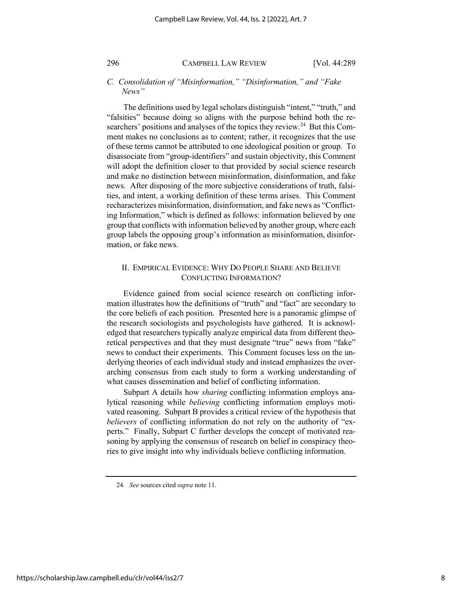#### *C. Consolidation of "Misinformation," "Disinformation," and "Fake News"*

The definitions used by legal scholars distinguish "intent," "truth," and "falsities" because doing so aligns with the purpose behind both the researchers' positions and analyses of the topics they review.<sup>24</sup> But this Comment makes no conclusions as to content; rather, it recognizes that the use of these terms cannot be attributed to one ideological position or group. To disassociate from "group-identifiers" and sustain objectivity, this Comment will adopt the definition closer to that provided by social science research and make no distinction between misinformation, disinformation, and fake news. After disposing of the more subjective considerations of truth, falsities, and intent, a working definition of these terms arises. This Comment recharacterizes misinformation, disinformation, and fake news as "Conflicting Information," which is defined as follows: information believed by one group that conflicts with information believed by another group, where each group labels the opposing group's information as misinformation, disinformation, or fake news.

#### II. EMPIRICAL EVIDENCE: WHY DO PEOPLE SHARE AND BELIEVE CONFLICTING INFORMATION?

Evidence gained from social science research on conflicting information illustrates how the definitions of "truth" and "fact" are secondary to the core beliefs of each position. Presented here is a panoramic glimpse of the research sociologists and psychologists have gathered. It is acknowledged that researchers typically analyze empirical data from different theoretical perspectives and that they must designate "true" news from "fake" news to conduct their experiments. This Comment focuses less on the underlying theories of each individual study and instead emphasizes the overarching consensus from each study to form a working understanding of what causes dissemination and belief of conflicting information.

Subpart A details how *sharing* conflicting information employs analytical reasoning while *believing* conflicting information employs motivated reasoning. Subpart B provides a critical review of the hypothesis that *believers* of conflicting information do not rely on the authority of "experts." Finally, Subpart C further develops the concept of motivated reasoning by applying the consensus of research on belief in conspiracy theories to give insight into why individuals believe conflicting information.

<sup>24</sup>*. See* sources cited *supra* note 11.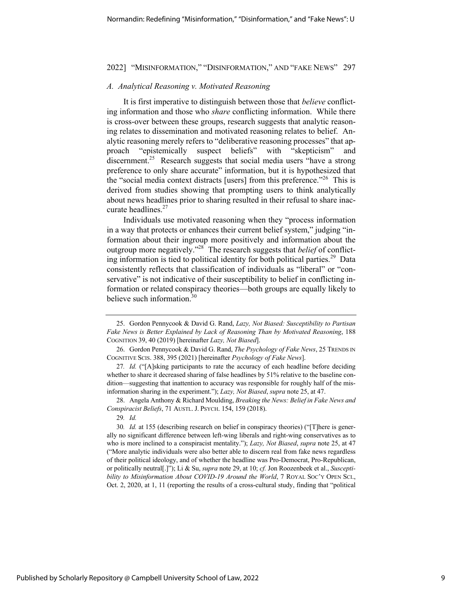#### *A. Analytical Reasoning v. Motivated Reasoning*

It is first imperative to distinguish between those that *believe* conflicting information and those who *share* conflicting information. While there is cross-over between these groups, research suggests that analytic reasoning relates to dissemination and motivated reasoning relates to belief. Analytic reasoning merely refers to "deliberative reasoning processes" that approach "epistemically suspect beliefs" with "skepticism" and discernment.<sup>25</sup> Research suggests that social media users "have a strong" preference to only share accurate" information, but it is hypothesized that the "social media context distracts [users] from this preference."<sup>26</sup> This is derived from studies showing that prompting users to think analytically about news headlines prior to sharing resulted in their refusal to share inaccurate headlines.<sup>27</sup>

Individuals use motivated reasoning when they "process information in a way that protects or enhances their current belief system," judging "information about their ingroup more positively and information about the outgroup more negatively."28 The research suggests that *belief* of conflicting information is tied to political identity for both political parties.<sup>29</sup> Data consistently reflects that classification of individuals as "liberal" or "conservative" is not indicative of their susceptibility to belief in conflicting information or related conspiracy theories—both groups are equally likely to believe such information.<sup>30</sup>

28. Angela Anthony & Richard Moulding, *Breaking the News: Belief in Fake News and Conspiracist Beliefs*, 71 AUSTL.J. PSYCH. 154, 159 (2018).

29*. Id.*

<sup>25.</sup> Gordon Pennycook & David G. Rand, *Lazy, Not Biased: Susceptibility to Partisan Fake News is Better Explained by Lack of Reasoning Than by Motivated Reasoning*, 188 COGNITION 39, 40 (2019) [hereinafter *Lazy, Not Biased*].

<sup>26.</sup> Gordon Pennycook & David G. Rand, *The Psychology of Fake News*, 25 TRENDS IN COGNITIVE SCIS. 388, 395 (2021) [hereinafter *Psychology of Fake News*].

<sup>27</sup>*. Id.* ("[A]sking participants to rate the accuracy of each headline before deciding whether to share it decreased sharing of false headlines by 51% relative to the baseline condition—suggesting that inattention to accuracy was responsible for roughly half of the misinformation sharing in the experiment."); *Lazy, Not Biased*, *supra* note 25, at 47.

<sup>30</sup>*. Id.* at 155 (describing research on belief in conspiracy theories) ("[T]here is generally no significant difference between left-wing liberals and right-wing conservatives as to who is more inclined to a conspiracist mentality."); *Lazy, Not Biased*, *supra* note 25, at 47 ("More analytic individuals were also better able to discern real from fake news regardless of their political ideology, and of whether the headline was Pro-Democrat, Pro-Republican, or politically neutral[.]"); Li & Su, *supra* note 29, at 10; *cf.* Jon Roozenbeek et al., *Susceptibility to Misinformation About COVID-19 Around the World*, 7 ROYAL SOC'Y OPEN SCI., Oct. 2, 2020, at 1, 11 (reporting the results of a cross-cultural study, finding that "political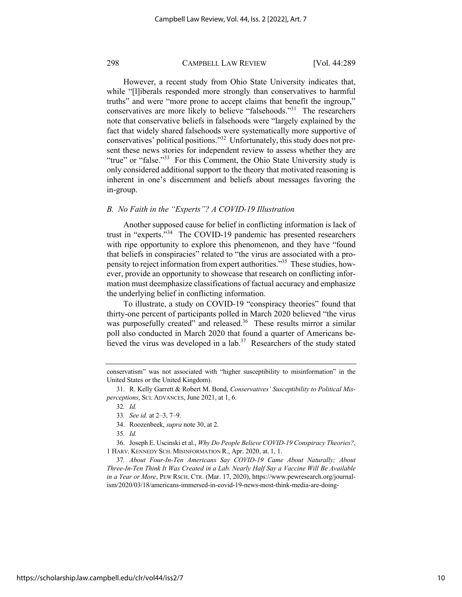However, a recent study from Ohio State University indicates that, while "[l]iberals responded more strongly than conservatives to harmful truths" and were "more prone to accept claims that benefit the ingroup," conservatives are more likely to believe "falsehoods."<sup>31</sup> The researchers note that conservative beliefs in falsehoods were "largely explained by the fact that widely shared falsehoods were systematically more supportive of conservatives' political positions."32 Unfortunately, this study does not present these news stories for independent review to assess whether they are "true" or "false."<sup>33</sup> For this Comment, the Ohio State University study is only considered additional support to the theory that motivated reasoning is inherent in one's discernment and beliefs about messages favoring the in-group.

#### *B. No Faith in the "Experts"? A COVID-19 Illustration*

Another supposed cause for belief in conflicting information is lack of trust in "experts."34 The COVID-19 pandemic has presented researchers with ripe opportunity to explore this phenomenon, and they have "found that beliefs in conspiracies" related to "the virus are associated with a propensity to reject information from expert authorities."35 These studies, however, provide an opportunity to showcase that research on conflicting information must deemphasize classifications of factual accuracy and emphasize the underlying belief in conflicting information.

To illustrate, a study on COVID-19 "conspiracy theories" found that thirty-one percent of participants polled in March 2020 believed "the virus was purposefully created" and released.<sup>36</sup> These results mirror a similar poll also conducted in March 2020 that found a quarter of Americans believed the virus was developed in a  $\text{lab.}^{37}$  Researchers of the study stated

36. Joseph E. Uscinski et al., *Why Do People Believe COVID-19 Conspiracy Theories?*, 1 HARV. KENNEDY SCH. MISINFORMATION R., Apr. 2020, at. 1, 1.

37*. About Four-In-Ten Americans Say COVID-19 Came About Naturally; About Three-In-Ten Think It Was Created in a Lab. Nearly Half Say a Vaccine Will Be Available in a Year or More*, PEW RSCH. CTR. (Mar. 17, 2020), https://www.pewresearch.org/journalism/2020/03/18/americans-immersed-in-covid-19-news-most-think-media-are-doing-

conservatism" was not associated with "higher susceptibility to misinformation" in the United States or the United Kingdom).

<sup>31.</sup> R. Kelly Garrett & Robert M. Bond, *Conservatives' Susceptibility to Political Misperceptions*, SCI. ADVANCES, June 2021, at 1, 6.

<sup>32</sup>*. Id.*

<sup>33</sup>*. See id.* at 2–3, 7–9.

<sup>34.</sup> Roozenbeek, *supra* note 30, at 2.

<sup>35</sup>*. Id.*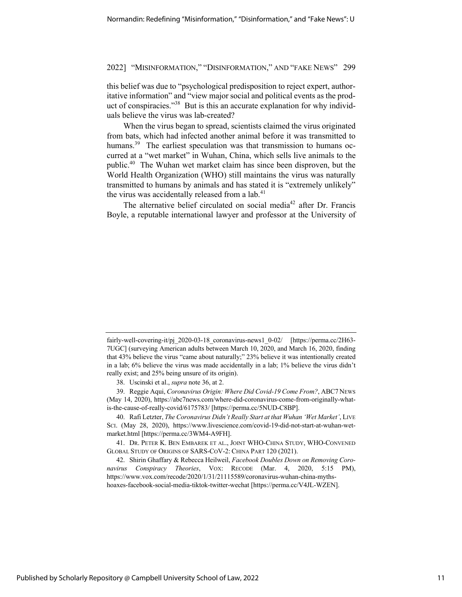this belief was due to "psychological predisposition to reject expert, authoritative information" and "view major social and political events as the product of conspiracies."<sup>38</sup> But is this an accurate explanation for why individuals believe the virus was lab-created?

When the virus began to spread, scientists claimed the virus originated from bats, which had infected another animal before it was transmitted to humans.<sup>39</sup> The earliest speculation was that transmission to humans occurred at a "wet market" in Wuhan, China, which sells live animals to the public.40 The Wuhan wet market claim has since been disproven, but the World Health Organization (WHO) still maintains the virus was naturally transmitted to humans by animals and has stated it is "extremely unlikely" the virus was accidentally released from a  $lab.<sup>41</sup>$ 

The alternative belief circulated on social media<sup>42</sup> after Dr. Francis Boyle, a reputable international lawyer and professor at the University of

fairly-well-covering-it/pj\_2020-03-18\_coronavirus-news1\_0-02/ [https://perma.cc/2H63- 7UGC] (surveying American adults between March 10, 2020, and March 16, 2020, finding that 43% believe the virus "came about naturally;" 23% believe it was intentionally created in a lab; 6% believe the virus was made accidentally in a lab; 1% believe the virus didn't really exist; and 25% being unsure of its origin).

<sup>38.</sup> Uscinski et al., *supra* note 36, at 2.

<sup>39.</sup> Reggie Aqui, *Coronavirus Origin: Where Did Covid-19 Come From?*, ABC7 NEWS (May 14, 2020), https://abc7news.com/where-did-coronavirus-come-from-originally-whatis-the-cause-of-really-covid/6175783/ [https://perma.cc/5NUD-C8BP].

<sup>40.</sup> Rafi Letzter, *The Coronavirus Didn't Really Start at that Wuhan 'Wet Market'*, LIVE SCI. (May 28, 2020), https://www.livescience.com/covid-19-did-not-start-at-wuhan-wetmarket.html [https://perma.cc/3WM4-A9FH].

<sup>41.</sup> DR. PETER K. BEN EMBAREK ET AL., JOINT WHO-CHINA STUDY, WHO-CONVENED GLOBAL STUDY OF ORIGINS OF SARS-COV-2: CHINA PART 120 (2021).

<sup>42.</sup> Shirin Ghaffary & Rebecca Heilweil, *Facebook Doubles Down on Removing Coronavirus Conspiracy Theories*, VOX: RECODE (Mar. 4, 2020, 5:15 PM), https://www.vox.com/recode/2020/1/31/21115589/coronavirus-wuhan-china-mythshoaxes-facebook-social-media-tiktok-twitter-wechat [https://perma.cc/V4JL-WZEN].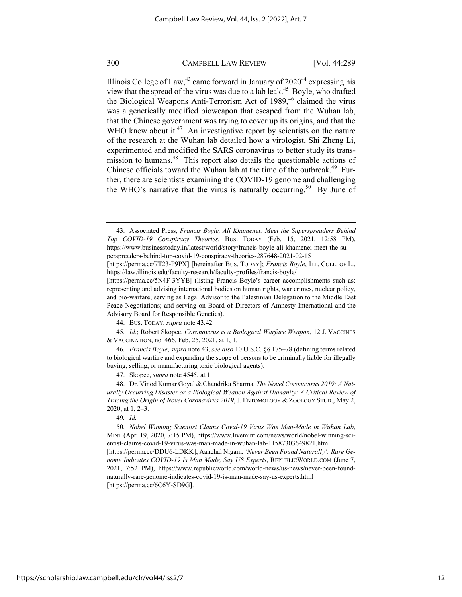Illinois College of Law,  $43$  came forward in January of  $2020^{44}$  expressing his view that the spread of the virus was due to a lab leak.<sup>45</sup> Boyle, who drafted the Biological Weapons Anti-Terrorism Act of 1989,<sup>46</sup> claimed the virus was a genetically modified bioweapon that escaped from the Wuhan lab, that the Chinese government was trying to cover up its origins, and that the WHO knew about it.<sup>47</sup> An investigative report by scientists on the nature of the research at the Wuhan lab detailed how a virologist, Shi Zheng Li, experimented and modified the SARS coronavirus to better study its transmission to humans.<sup>48</sup> This report also details the questionable actions of Chinese officials toward the Wuhan lab at the time of the outbreak.<sup>49</sup> Further, there are scientists examining the COVID-19 genome and challenging the WHO's narrative that the virus is naturally occurring.<sup>50</sup> By June of

47. Skopec, *supra* note 4545, at 1.

48. Dr. Vinod Kumar Goyal & Chandrika Sharma, *The Novel Coronavirus 2019: A Naturally Occurring Disaster or a Biological Weapon Against Humanity: A Critical Review of Tracing the Origin of Novel Coronavirus 2019*, J. ENTOMOLOGY & ZOOLOGY STUD., May 2, 2020, at 1, 2–3.

49*. Id.*

50*. Nobel Winning Scientist Claims Covid-19 Virus Was Man-Made in Wuhan Lab*, MINT (Apr. 19, 2020, 7:15 PM), https://www.livemint.com/news/world/nobel-winning-scientist-claims-covid-19-virus-was-man-made-in-wuhan-lab-11587303649821.html

[https://perma.cc/DDU6-LDKK]; Aanchal Nigam, *'Never Been Found Naturally': Rare Genome Indicates COVID-19 Is Man Made, Say US Experts*, REPUBLICWORLD.COM (June 7, 2021, 7:52 PM), https://www.republicworld.com/world-news/us-news/never-been-foundnaturally-rare-genome-indicates-covid-19-is-man-made-say-us-experts.html [https://perma.cc/6C6Y-SD9G].

<sup>43.</sup> Associated Press, *Francis Boyle, Ali Khamenei: Meet the Superspreaders Behind Top COVID-19 Conspiracy Theories*, BUS. TODAY (Feb. 15, 2021, 12:58 PM), https://www.businesstoday.in/latest/world/story/francis-boyle-ali-khamenei-meet-the-superspreaders-behind-top-covid-19-conspiracy-theories-287648-2021-02-15

<sup>[</sup>https://perma.cc/7T23-P9PX] [hereinafter BUS. TODAY]; *Francis Boyle*, ILL. COLL. OF L., https://law.illinois.edu/faculty-research/faculty-profiles/francis-boyle/

<sup>[</sup>https://perma.cc/5N4F-3YYE] (listing Francis Boyle's career accomplishments such as: representing and advising international bodies on human rights, war crimes, nuclear policy, and bio-warfare; serving as Legal Advisor to the Palestinian Delegation to the Middle East Peace Negotiations; and serving on Board of Directors of Amnesty International and the Advisory Board for Responsible Genetics).

<sup>44.</sup> BUS. TODAY, *supra* note 43.42

<sup>45</sup>*. Id.*; Robert Skopec, *Coronavirus is a Biological Warfare Weapon*, 12 J. VACCINES & VACCINATION, no. 466, Feb. 25, 2021, at 1, 1.

<sup>46</sup>*. Francis Boyle*, *supra* note 43; *see also* 10 U.S.C. §§ 175–78 (defining terms related to biological warfare and expanding the scope of persons to be criminally liable for illegally buying, selling, or manufacturing toxic biological agents).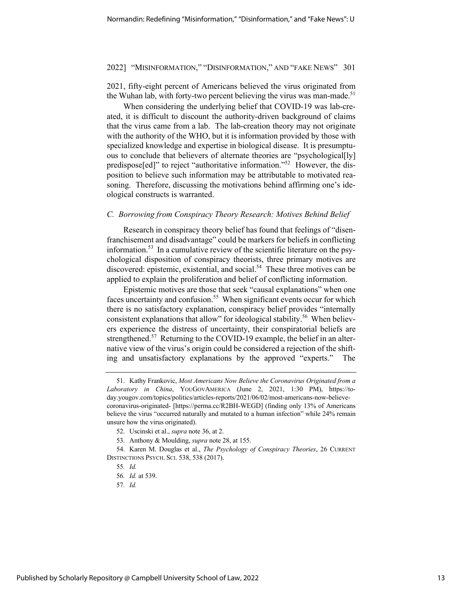2021, fifty-eight percent of Americans believed the virus originated from the Wuhan lab, with forty-two percent believing the virus was man-made.<sup>51</sup>

When considering the underlying belief that COVID-19 was lab-created, it is difficult to discount the authority-driven background of claims that the virus came from a lab. The lab-creation theory may not originate with the authority of the WHO, but it is information provided by those with specialized knowledge and expertise in biological disease. It is presumptuous to conclude that believers of alternate theories are "psychological[ly] predispose[ed]" to reject "authoritative information."52 However, the disposition to believe such information may be attributable to motivated reasoning. Therefore, discussing the motivations behind affirming one's ideological constructs is warranted.

#### *C. Borrowing from Conspiracy Theory Research: Motives Behind Belief*

Research in conspiracy theory belief has found that feelings of "disenfranchisement and disadvantage" could be markers for beliefs in conflicting information.<sup>53</sup> In a cumulative review of the scientific literature on the psychological disposition of conspiracy theorists, three primary motives are discovered: epistemic, existential, and social.<sup>54</sup> These three motives can be applied to explain the proliferation and belief of conflicting information.

Epistemic motives are those that seek "causal explanations" when one faces uncertainty and confusion.<sup>55</sup> When significant events occur for which there is no satisfactory explanation, conspiracy belief provides "internally consistent explanations that allow" for ideological stability.<sup>56</sup> When believers experience the distress of uncertainty, their conspiratorial beliefs are strengthened.<sup>57</sup> Returning to the COVID-19 example, the belief in an alternative view of the virus's origin could be considered a rejection of the shifting and unsatisfactory explanations by the approved "experts." The

<sup>51.</sup> Kathy Frankovic, *Most Americans Now Believe the Coronavirus Originated from a Laboratory in China*, YOUGOVAMERICA (June 2, 2021, 1:30 PM), https://today.yougov.com/topics/politics/articles-reports/2021/06/02/most-americans-now-believecoronavirus-originated- [https://perma.cc/R2BH-WEGD] (finding only 13% of Americans believe the virus "occurred naturally and mutated to a human infection" while 24% remain unsure how the virus originated).

<sup>52.</sup> Uscinski et al., *supra* note 36, at 2.

<sup>53.</sup> Anthony & Moulding, *supra* note 28, at 155.

<sup>54.</sup> Karen M. Douglas et al., *The Psychology of Conspiracy Theories*, 26 CURRENT DISTINCTIONS PSYCH. SCI. 538, 538 (2017).

<sup>55</sup>*. Id.*

<sup>56</sup>*. Id.* at 539.

<sup>57</sup>*. Id.*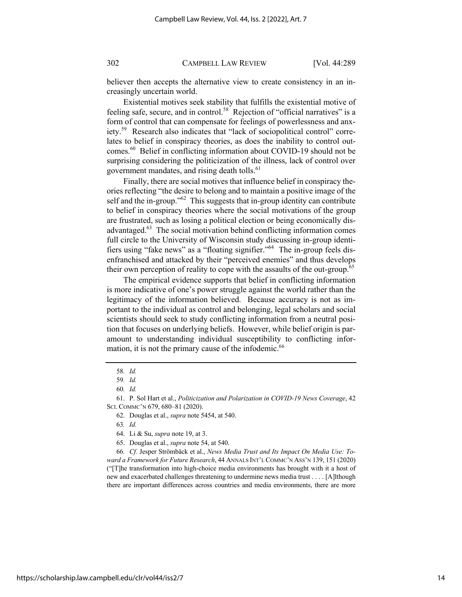believer then accepts the alternative view to create consistency in an increasingly uncertain world.

Existential motives seek stability that fulfills the existential motive of feeling safe, secure, and in control.<sup>58</sup> Rejection of "official narratives" is a form of control that can compensate for feelings of powerlessness and anxiety.59 Research also indicates that "lack of sociopolitical control" correlates to belief in conspiracy theories, as does the inability to control outcomes.60 Belief in conflicting information about COVID-19 should not be surprising considering the politicization of the illness, lack of control over government mandates, and rising death tolls.<sup>61</sup>

Finally, there are social motives that influence belief in conspiracy theories reflecting "the desire to belong and to maintain a positive image of the self and the in-group.<sup>"62</sup> This suggests that in-group identity can contribute to belief in conspiracy theories where the social motivations of the group are frustrated, such as losing a political election or being economically disadvantaged.63 The social motivation behind conflicting information comes full circle to the University of Wisconsin study discussing in-group identifiers using "fake news" as a "floating signifier."64 The in-group feels disenfranchised and attacked by their "perceived enemies" and thus develops their own perception of reality to cope with the assaults of the out-group.<sup>65</sup>

The empirical evidence supports that belief in conflicting information is more indicative of one's power struggle against the world rather than the legitimacy of the information believed. Because accuracy is not as important to the individual as control and belonging, legal scholars and social scientists should seek to study conflicting information from a neutral position that focuses on underlying beliefs. However, while belief origin is paramount to understanding individual susceptibility to conflicting information, it is not the primary cause of the infodemic.<sup>66</sup>

66*. Cf.* Jesper Strömbäck et al., *News Media Trust and Its Impact On Media Use: Toward a Framework for Future Research*, 44 ANNALS INT'L COMMC'N ASS'N 139, 151 (2020) ("[T]he transformation into high-choice media environments has brought with it a host of new and exacerbated challenges threatening to undermine news media trust . . . . [A]lthough there are important differences across countries and media environments, there are more

<sup>58</sup>*. Id.*

<sup>59</sup>*. Id.*

<sup>60</sup>*. Id.*

<sup>61.</sup> P. Sol Hart et al., *Politicization and Polarization in COVID-19 News Coverage*, 42 SCI. COMMC'N 679, 680-81 (2020).

<sup>62.</sup> Douglas et al., *supra* note 5454, at 540.

<sup>63</sup>*. Id.* 

<sup>64.</sup> Li & Su, *supra* note 19, at 3.

<sup>65.</sup> Douglas et al., *supra* note 54, at 540.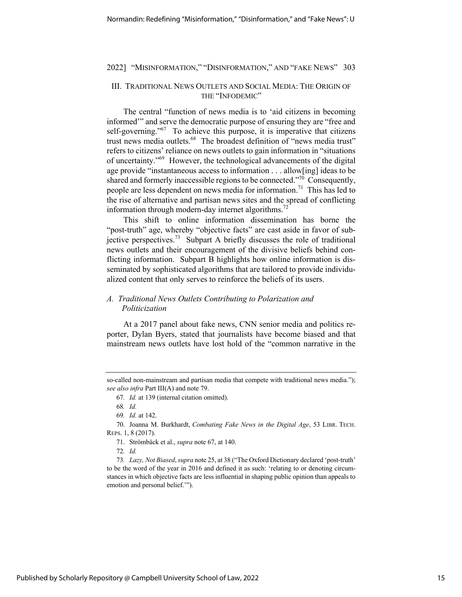#### III. TRADITIONAL NEWS OUTLETS AND SOCIAL MEDIA: THE ORIGIN OF THE "INFODEMIC"

The central "function of news media is to 'aid citizens in becoming informed'" and serve the democratic purpose of ensuring they are "free and self-governing."<sup>67</sup> To achieve this purpose, it is imperative that citizens trust news media outlets.<sup>68</sup> The broadest definition of "news media trust" refers to citizens' reliance on news outlets to gain information in "situations of uncertainty."69 However, the technological advancements of the digital age provide "instantaneous access to information . . . allow[ing] ideas to be shared and formerly inaccessible regions to be connected. $\cdot^{70}$  Consequently, people are less dependent on news media for information.<sup>71</sup> This has led to the rise of alternative and partisan news sites and the spread of conflicting information through modern-day internet algorithms.<sup>72</sup>

This shift to online information dissemination has borne the "post-truth" age, whereby "objective facts" are cast aside in favor of subjective perspectives.<sup>73</sup> Subpart A briefly discusses the role of traditional news outlets and their encouragement of the divisive beliefs behind conflicting information. Subpart B highlights how online information is disseminated by sophisticated algorithms that are tailored to provide individualized content that only serves to reinforce the beliefs of its users.

#### *A. Traditional News Outlets Contributing to Polarization and Politicization*

At a 2017 panel about fake news, CNN senior media and politics reporter, Dylan Byers, stated that journalists have become biased and that mainstream news outlets have lost hold of the "common narrative in the

68*. Id.*

72*. Id.*

73*. Lazy, Not Biased*, *supra* note 25, at 38 ("The Oxford Dictionary declared 'post-truth' to be the word of the year in 2016 and defined it as such: 'relating to or denoting circumstances in which objective facts are less influential in shaping public opinion than appeals to emotion and personal belief.'").

so-called non-mainstream and partisan media that compete with traditional news media."); *see also infra* Part III(A) and note 79.

<sup>67</sup>*. Id.* at 139 (internal citation omitted).

<sup>69</sup>*. Id.* at 142.

<sup>70.</sup> Joanna M. Burkhardt, *Combating Fake News in the Digital Age*, 53 LIBR. TECH. REPS. 1, 8 (2017).

<sup>71.</sup> Strömbäck et al., *supra* note 67, at 140.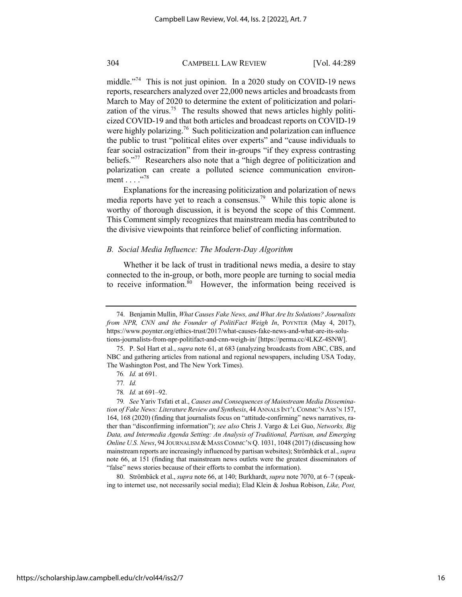middle."<sup>74</sup> This is not just opinion. In a 2020 study on COVID-19 news reports, researchers analyzed over 22,000 news articles and broadcasts from March to May of 2020 to determine the extent of politicization and polarization of the virus.<sup>75</sup> The results showed that news articles highly politicized COVID-19 and that both articles and broadcast reports on COVID-19 were highly polarizing.<sup>76</sup> Such politicization and polarization can influence the public to trust "political elites over experts" and "cause individuals to fear social ostracization" from their in-groups "if they express contrasting beliefs."<sup>77</sup> Researchers also note that a "high degree of politicization and polarization can create a polluted science communication environment . . . . . . . . 78

Explanations for the increasing politicization and polarization of news media reports have yet to reach a consensus.<sup>79</sup> While this topic alone is worthy of thorough discussion, it is beyond the scope of this Comment. This Comment simply recognizes that mainstream media has contributed to the divisive viewpoints that reinforce belief of conflicting information.

#### *B. Social Media Influence: The Modern-Day Algorithm*

Whether it be lack of trust in traditional news media, a desire to stay connected to the in-group, or both, more people are turning to social media to receive information. $80$  However, the information being received is

80. Strömbäck et al., *supra* note 66, at 140; Burkhardt, *supra* note 7070, at 6–7 (speaking to internet use, not necessarily social media); Elad Klein & Joshua Robison, *Like, Post,* 

<sup>74.</sup> Benjamin Mullin, *What Causes Fake News, and What Are Its Solutions? Journalists from NPR, CNN and the Founder of PolitiFact Weigh In*, POYNTER (May 4, 2017), https://www.poynter.org/ethics-trust/2017/what-causes-fake-news-and-what-are-its-solutions-journalists-from-npr-politifact-and-cnn-weigh-in/ [https://perma.cc/4LKZ-4SNW].

<sup>75.</sup> P. Sol Hart et al., *supra* note 61, at 683 (analyzing broadcasts from ABC, CBS, and NBC and gathering articles from national and regional newspapers, including USA Today, The Washington Post, and The New York Times).

<sup>76</sup>*. Id.* at 691.

<sup>77</sup>*. Id.*

<sup>78</sup>*. Id.* at 691–92.

<sup>79</sup>*. See* Yariv Tsfati et al., *Causes and Consequences of Mainstream Media Dissemination of Fake News: Literature Review and Synthesis*, 44 ANNALS INT'L COMMC'N ASS'N 157, 164, 168 (2020) (finding that journalists focus on "attitude-confirming" news narratives, rather than "disconfirming information"); *see also* Chris J. Vargo & Lei Guo, *Networks, Big Data, and Intermedia Agenda Setting: An Analysis of Traditional, Partisan, and Emerging Online U.S. News*, 94 JOURNALISM & MASS COMMC'N Q. 1031, 1048 (2017) (discussing how mainstream reports are increasingly influenced by partisan websites); Strömbäck et al., *supra* note 66, at 151 (finding that mainstream news outlets were the greatest disseminators of "false" news stories because of their efforts to combat the information).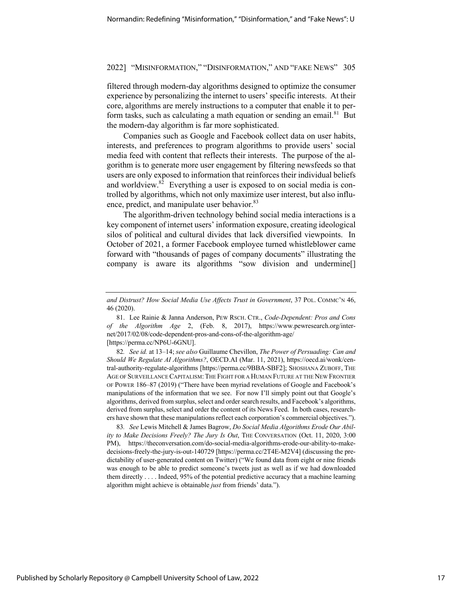filtered through modern-day algorithms designed to optimize the consumer experience by personalizing the internet to users' specific interests. At their core, algorithms are merely instructions to a computer that enable it to perform tasks, such as calculating a math equation or sending an email. $81$  But the modern-day algorithm is far more sophisticated.

Companies such as Google and Facebook collect data on user habits, interests, and preferences to program algorithms to provide users' social media feed with content that reflects their interests. The purpose of the algorithm is to generate more user engagement by filtering newsfeeds so that users are only exposed to information that reinforces their individual beliefs and worldview.<sup>82</sup> Everything a user is exposed to on social media is controlled by algorithms, which not only maximize user interest, but also influence, predict, and manipulate user behavior.<sup>83</sup>

The algorithm-driven technology behind social media interactions is a key component of internet users' information exposure, creating ideological silos of political and cultural divides that lack diversified viewpoints. In October of 2021, a former Facebook employee turned whistleblower came forward with "thousands of pages of company documents" illustrating the company is aware its algorithms "sow division and undermine[]

82*. See id.* at 13–14; *see also* Guillaume Chevillon, *The Power of Persuading: Can and Should We Regulate AI Algorithms?*, OECD.AI (Mar. 11, 2021), https://oecd.ai/wonk/central-authority-regulate-algorithms [https://perma.cc/9BBA-SBF2]; SHOSHANA ZUBOFF, THE AGE OF SURVEILLANCE CAPITALISM:THE FIGHT FOR A HUMAN FUTURE AT THE NEW FRONTIER OF POWER 186–87 (2019) ("There have been myriad revelations of Google and Facebook's manipulations of the information that we see. For now I'll simply point out that Google's algorithms, derived from surplus, select and order search results, and Facebook's algorithms, derived from surplus, select and order the content of its News Feed. In both cases, researchers have shown that these manipulations reflect each corporation's commercial objectives.").

83*. See* Lewis Mitchell & James Bagrow, *Do Social Media Algorithms Erode Our Ability to Make Decisions Freely? The Jury Is Out*, THE CONVERSATION (Oct. 11, 2020, 3:00 PM), https://theconversation.com/do-social-media-algorithms-erode-our-ability-to-makedecisions-freely-the-jury-is-out-140729 [https://perma.cc/2T4E-M2V4] (discussing the predictability of user-generated content on Twitter) ("We found data from eight or nine friends was enough to be able to predict someone's tweets just as well as if we had downloaded them directly . . . . Indeed, 95% of the potential predictive accuracy that a machine learning algorithm might achieve is obtainable *just* from friends' data.").

*and Distrust? How Social Media Use Affects Trust in Government*, 37 POL. COMMC'N 46, 46 (2020).

<sup>81.</sup> Lee Rainie & Janna Anderson, PEW RSCH. CTR., *Code-Dependent: Pros and Cons of the Algorithm Age* 2, (Feb. 8, 2017), https://www.pewresearch.org/internet/2017/02/08/code-dependent-pros-and-cons-of-the-algorithm-age/ [https://perma.cc/NP6U-6GNU].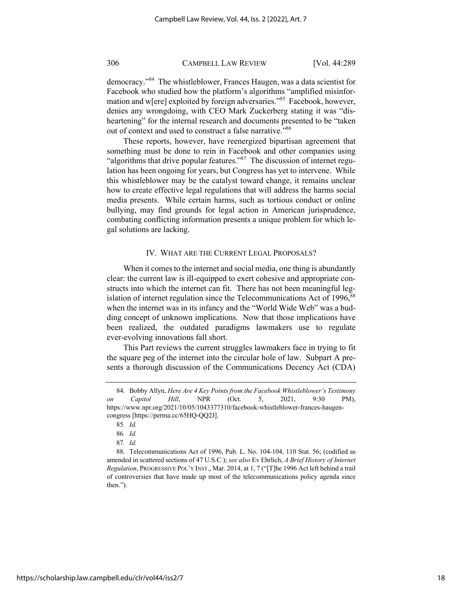democracy."84 The whistleblower, Frances Haugen, was a data scientist for Facebook who studied how the platform's algorithms "amplified misinformation and w[ere] exploited by foreign adversaries."85 Facebook, however, denies any wrongdoing, with CEO Mark Zuckerberg stating it was "disheartening" for the internal research and documents presented to be "taken" out of context and used to construct a false narrative."<sup>86</sup>

These reports, however, have reenergized bipartisan agreement that something must be done to rein in Facebook and other companies using "algorithms that drive popular features."<sup>87</sup> The discussion of internet regulation has been ongoing for years, but Congress has yet to intervene. While this whistleblower may be the catalyst toward change, it remains unclear how to create effective legal regulations that will address the harms social media presents. While certain harms, such as tortious conduct or online bullying, may find grounds for legal action in American jurisprudence, combating conflicting information presents a unique problem for which legal solutions are lacking.

#### IV. WHAT ARE THE CURRENT LEGAL PROPOSALS?

When it comes to the internet and social media, one thing is abundantly clear: the current law is ill-equipped to exert cohesive and appropriate constructs into which the internet can fit. There has not been meaningful legislation of internet regulation since the Telecommunications Act of 1996,<sup>88</sup> when the internet was in its infancy and the "World Wide Web" was a budding concept of unknown implications. Now that those implications have been realized, the outdated paradigms lawmakers use to regulate ever-evolving innovations fall short.

This Part reviews the current struggles lawmakers face in trying to fit the square peg of the internet into the circular hole of law. Subpart A presents a thorough discussion of the Communications Decency Act (CDA)

<sup>84.</sup> Bobby Allyn, *Here Are 4 Key Points from the Facebook Whistleblower's Testimony on Capitol Hill*, NPR (Oct. 5, 2021, 9:30 PM), https://www.npr.org/2021/10/05/1043377310/facebook-whistleblower-frances-haugencongress [https://perma.cc/65HQ-QQ2J].

<sup>85</sup>*. Id.*

<sup>86</sup>*. Id.*

<sup>87</sup>*. Id.*

<sup>88.</sup> Telecommunications Act of 1996, Pub. L. No. 104-104, 110 Stat. 56; (codified as amended in scattered sections of 47 U.S.C.); *see also* Ev Ehrlich, *A Brief History of Internet Regulation*, PROGRESSIVE POL'Y INST., Mar. 2014, at 1, 7 ("[T]he 1996 Act left behind a trail of controversies that have made up most of the telecommunications policy agenda since then.").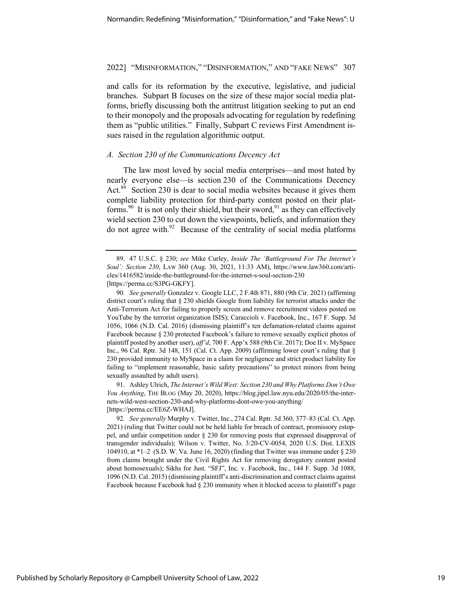and calls for its reformation by the executive, legislative, and judicial branches. Subpart B focuses on the size of these major social media platforms, briefly discussing both the antitrust litigation seeking to put an end to their monopoly and the proposals advocating for regulation by redefining them as "public utilities." Finally, Subpart C reviews First Amendment issues raised in the regulation algorithmic output.

#### *A. Section 230 of the Communications Decency Act*

The law most loved by social media enterprises—and most hated by nearly everyone else—is section 230 of the Communications Decency Act.<sup>89</sup> Section 230 is dear to social media websites because it gives them complete liability protection for third-party content posted on their platforms.<sup>90</sup> It is not only their shield, but their sword,<sup>91</sup> as they can effectively wield section 230 to cut down the viewpoints, beliefs, and information they do not agree with. $92$  Because of the centrality of social media platforms

91. Ashley Ulrich, *The Internet's Wild West: Section 230 and Why Platforms Don't Owe You Anything*, THE BLOG (May 20, 2020), https://blog.jipel.law.nyu.edu/2020/05/the-internets-wild-west-section-230-and-why-platforms-dont-owe-you-anything/ [https://perma.cc/EE6Z-WHAJ].

92*. See generally* Murphy v. Twitter, Inc., 274 Cal. Rptr. 3d 360, 377–83 (Cal. Ct. App. 2021) (ruling that Twitter could not be held liable for breach of contract, promissory estoppel, and unfair competition under § 230 for removing posts that expressed disapproval of transgender individuals); Wilson v. Twitter, No. 3:20-CV-0054, 2020 U.S. Dist. LEXIS 104910, at \*1–2 (S.D. W. Va. June 16, 2020) (finding that Twitter was immune under § 230 from claims brought under the Civil Rights Act for removing derogatory content posted about homosexuals); Sikhs for Just. "SFJ", Inc. v. Facebook, Inc., 144 F. Supp. 3d 1088, 1096 (N.D. Cal. 2015) (dismissing plaintiff's anti-discrimination and contract claims against Facebook because Facebook had § 230 immunity when it blocked access to plaintiff's page

<sup>89.</sup> 47 U.S.C. § 230; *see* Mike Curley, *Inside The 'Battleground For The Internet's Soul': Section 230*, LAW 360 (Aug. 30, 2021, 11:33 AM), https://www.law360.com/articles/1416582/inside-the-battleground-for-the-internet-s-soul-section-230 [https://perma.cc/S3PG-GKFY].

<sup>90</sup>*. See generally* Gonzalez v. Google LLC, 2 F.4th 871, 880 (9th Cir. 2021) (affirming district court's ruling that § 230 shields Google from liability for terrorist attacks under the Anti-Terrorism Act for failing to properly screen and remove recruitment videos posted on YouTube by the terrorist organization ISIS); Caraccioli v. Facebook, Inc., 167 F. Supp. 3d 1056, 1066 (N.D. Cal. 2016) (dismissing plaintiff's ten defamation-related claims against Facebook because § 230 protected Facebook's failure to remove sexually explicit photos of plaintiff posted by another user), *aff'd*, 700 F. App'x 588 (9th Cir. 2017); Doe II v. MySpace Inc., 96 Cal. Rptr. 3d 148, 151 (Cal. Ct. App. 2009) (affirming lower court's ruling that § 230 provided immunity to MySpace in a claim for negligence and strict product liability for failing to "implement reasonable, basic safety precautions" to protect minors from being sexually assaulted by adult users).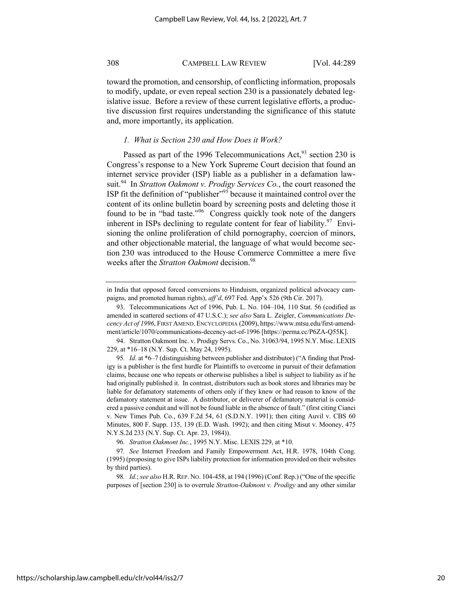toward the promotion, and censorship, of conflicting information, proposals to modify, update, or even repeal section 230 is a passionately debated legislative issue. Before a review of these current legislative efforts, a productive discussion first requires understanding the significance of this statute and, more importantly, its application.

#### *1. What is Section 230 and How Does it Work?*

Passed as part of the 1996 Telecommunications  $Act<sub>,93</sub>$  section 230 is Congress's response to a New York Supreme Court decision that found an internet service provider (ISP) liable as a publisher in a defamation lawsuit.94 In *Stratton Oakmont v. Prodigy Services Co.*, the court reasoned the ISP fit the definition of "publisher"<sup>95</sup> because it maintained control over the content of its online bulletin board by screening posts and deleting those it found to be in "bad taste."96 Congress quickly took note of the dangers inherent in ISPs declining to regulate content for fear of liability. $97$  Envisioning the online proliferation of child pornography, coercion of minors, and other objectionable material, the language of what would become section 230 was introduced to the House Commerce Committee a mere five weeks after the *Stratton Oakmont* decision.<sup>98</sup>

94. Stratton Oakmont Inc. v. Prodigy Servs. Co., No. 31063/94, 1995 N.Y. Misc. LEXIS 229, at \*16–18 (N.Y. Sup. Ct. May 24, 1995).

in India that opposed forced conversions to Hinduism, organized political advocacy campaigns, and promoted human rights), *aff'd*, 697 Fed. App'x 526 (9th Cir. 2017).

<sup>93.</sup> Telecommunications Act of 1996, Pub. L. No. 104–104, 110 Stat. 56 (codified as amended in scattered sections of 47 U.S.C.); *see also* Sara L. Zeigler, *Communications Decency Act of 1996*, FIRST AMEND.ENCYCLOPEDIA (2009), https://www.mtsu.edu/first-amendment/article/1070/communications-decency-act-of-1996 [https://perma.cc/P6ZA-Q55K].

<sup>95</sup>*. Id*. at \*6–7 (distinguishing between publisher and distributor) ("A finding that Prodigy is a publisher is the first hurdle for Plaintiffs to overcome in pursuit of their defamation claims, because one who repeats or otherwise publishes a libel is subject to liability as if he had originally published it. In contrast, distributors such as book stores and libraries may be liable for defamatory statements of others only if they knew or had reason to know of the defamatory statement at issue. A distributor, or deliverer of defamatory material is considered a passive conduit and will not be found liable in the absence of fault." (first citing Cianci v. New Times Pub. Co., 639 F.2d 54, 61 (S.D.N.Y. 1991); then citing Auvil v. CBS 60 Minutes, 800 F. Supp. 135, 139 (E.D. Wash. 1992); and then citing Misut v. Mooney, 475 N.Y.S.2d 233 (N.Y. Sup. Ct. Apr. 23, 1984)).

<sup>96</sup>*. Stratton Oakmont Inc.*, 1995 N.Y. Misc. LEXIS 229, at \*10.

<sup>97</sup>*. See* Internet Freedom and Family Empowerment Act, H.R. 1978, 104th Cong. (1995) (proposing to give ISPs liability protection for information provided on their websites by third parties).

<sup>98</sup>*. Id.*; *see also* H.R. REP. NO. 104-458, at 194 (1996) (Conf. Rep.) ("One of the specific purposes of [section 230] is to overrule *Stratton-Oakmont v. Prodigy* and any other similar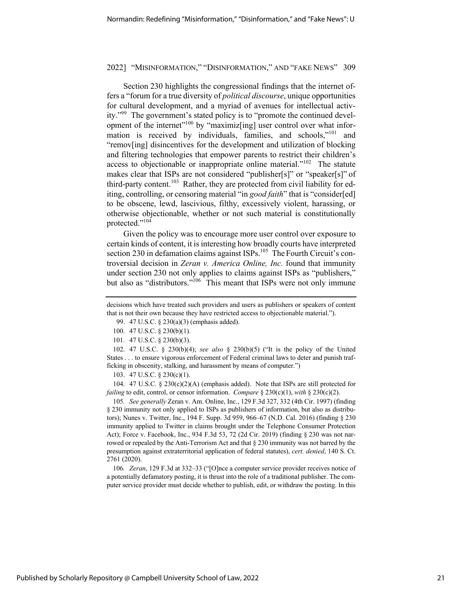Section 230 highlights the congressional findings that the internet offers a "forum for a true diversity of *political discourse*, unique opportunities for cultural development, and a myriad of avenues for intellectual activity."99 The government's stated policy is to "promote the continued development of the internet"<sup>100</sup> by "maximiz<sup>[ing]</sup> user control over what information is received by individuals, families, and schools,"101 and "remov[ing] disincentives for the development and utilization of blocking and filtering technologies that empower parents to restrict their children's access to objectionable or inappropriate online material."<sup>102</sup> The statute makes clear that ISPs are not considered "publisher[s]" or "speaker[s]" of third-party content.<sup>103</sup> Rather, they are protected from civil liability for editing, controlling, or censoring material "in *good faith*" that is "consider[ed] to be obscene, lewd, lascivious, filthy, excessively violent, harassing, or otherwise objectionable, whether or not such material is constitutionally protected."<sup>104</sup>

Given the policy was to encourage more user control over exposure to certain kinds of content, it is interesting how broadly courts have interpreted section 230 in defamation claims against ISPs.<sup>105</sup> The Fourth Circuit's controversial decision in *Zeran v. America Online, Inc.* found that immunity under section 230 not only applies to claims against ISPs as "publishers," but also as "distributors."<sup>106</sup> This meant that ISPs were not only immune

104. 47 U.S.C. § 230(c)(2)(A) (emphasis added). Note that ISPs are still protected for *failing* to edit, control, or censor information. *Compare* § 230(c)(1), *with* § 230(c)(2).

105*. See generally* Zeran v. Am. Online, Inc., 129 F.3d 327, 332 (4th Cir. 1997) (finding § 230 immunity not only applied to ISPs as publishers of information, but also as distributors); Nunes v. Twitter, Inc., 194 F. Supp. 3d 959, 966–67 (N.D. Cal. 2016) (finding § 230 immunity applied to Twitter in claims brought under the Telephone Consumer Protection Act); Force v. Facebook, Inc., 934 F.3d 53, 72 (2d Cir. 2019) (finding § 230 was not narrowed or repealed by the Anti-Terrorism Act and that § 230 immunity was not barred by the presumption against extraterritorial application of federal statutes), *cert. denied*, 140 S. Ct. 2761 (2020).

106*. Zeran*, 129 F.3d at 332–33 ("[O]nce a computer service provider receives notice of a potentially defamatory posting, it is thrust into the role of a traditional publisher. The computer service provider must decide whether to publish, edit, or withdraw the posting. In this

decisions which have treated such providers and users as publishers or speakers of content that is not their own because they have restricted access to objectionable material.").

<sup>99.</sup> 47 U.S.C. § 230(a)(3) (emphasis added).

<sup>100.</sup> 47 U.S.C. § 230(b)(1).

<sup>101.</sup> 47 U.S.C. § 230(b)(3).

<sup>102.</sup> 47 U.S.C. § 230(b)(4); *see also* § 230(b)(5) ("It is the policy of the United States . . . to ensure vigorous enforcement of Federal criminal laws to deter and punish trafficking in obscenity, stalking, and harassment by means of computer.")

<sup>103.</sup> 47 U.S.C. § 230(c)(1).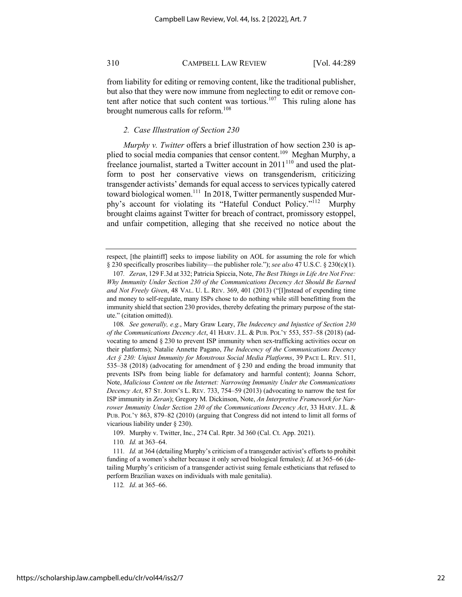from liability for editing or removing content, like the traditional publisher, but also that they were now immune from neglecting to edit or remove content after notice that such content was tortious.<sup>107</sup> This ruling alone has brought numerous calls for reform.<sup>108</sup>

#### *2. Case Illustration of Section 230*

*Murphy v. Twitter* offers a brief illustration of how section 230 is applied to social media companies that censor content.<sup>109</sup> Meghan Murphy, a freelance journalist, started a Twitter account in  $2011^{110}$  and used the platform to post her conservative views on transgenderism, criticizing transgender activists' demands for equal access to services typically catered toward biological women.<sup>111</sup> In 2018, Twitter permanently suspended Murphy's account for violating its "Hateful Conduct Policy."<sup>112</sup> Murphy brought claims against Twitter for breach of contract, promissory estoppel, and unfair competition, alleging that she received no notice about the

110*. Id.* at 363–64.

112*. Id*. at 365–66.

respect, [the plaintiff] seeks to impose liability on AOL for assuming the role for which § 230 specifically proscribes liability—the publisher role."); *see also* 47 U.S.C. § 230(c)(1).

<sup>107</sup>*. Zeran*, 129 F.3d at 332; Patricia Spiccia, Note, *The Best Things in Life Are Not Free: Why Immunity Under Section 230 of the Communications Decency Act Should Be Earned and Not Freely Given*, 48 VAL. U. L. REV. 369, 401 (2013) ("[I]nstead of expending time and money to self-regulate, many ISPs chose to do nothing while still benefitting from the immunity shield that section 230 provides, thereby defeating the primary purpose of the statute." (citation omitted)).

<sup>108</sup>*. See generally, e.g.*, Mary Graw Leary, *The Indecency and Injustice of Section 230 of the Communications Decency Act*, 41 HARV. J.L. & PUB. POL'Y 553, 557–58 (2018) (advocating to amend § 230 to prevent ISP immunity when sex-trafficking activities occur on their platforms); Natalie Annette Pagano, *The Indecency of the Communications Decency Act § 230: Unjust Immunity for Monstrous Social Media Platforms*, 39 PACE L. REV. 511, 535–38 (2018) (advocating for amendment of § 230 and ending the broad immunity that prevents ISPs from being liable for defamatory and harmful content); Joanna Schorr, Note, *Malicious Content on the Internet: Narrowing Immunity Under the Communications Decency Act*, 87 ST. JOHN'S L. REV. 733, 754–59 (2013) (advocating to narrow the test for ISP immunity in *Zeran*); Gregory M. Dickinson, Note, *An Interpretive Framework for Narrower Immunity Under Section 230 of the Communications Decency Act*, 33 HARV. J.L. & PUB. POL'Y 863, 879–82 (2010) (arguing that Congress did not intend to limit all forms of vicarious liability under § 230).

<sup>109.</sup> Murphy v. Twitter, Inc., 274 Cal. Rptr. 3d 360 (Cal. Ct. App. 2021).

<sup>111</sup>*. Id.* at 364 (detailing Murphy's criticism of a transgender activist's efforts to prohibit funding of a women's shelter because it only served biological females); *Id.* at 365–66 (detailing Murphy's criticism of a transgender activist suing female estheticians that refused to perform Brazilian waxes on individuals with male genitalia).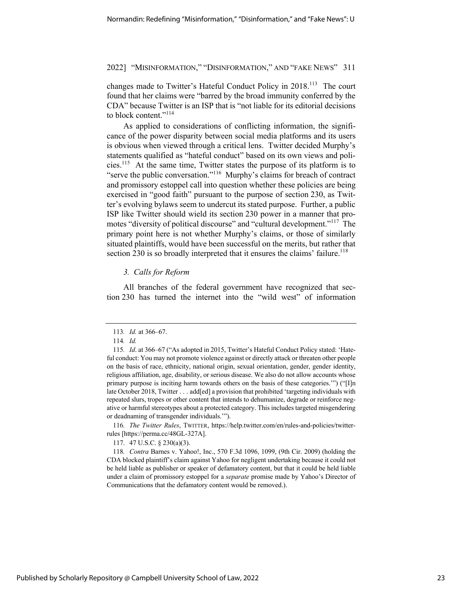changes made to Twitter's Hateful Conduct Policy in 2018.<sup>113</sup> The court found that her claims were "barred by the broad immunity conferred by the CDA" because Twitter is an ISP that is "not liable for its editorial decisions to block content."<sup>114</sup>

As applied to considerations of conflicting information, the significance of the power disparity between social media platforms and its users is obvious when viewed through a critical lens. Twitter decided Murphy's statements qualified as "hateful conduct" based on its own views and policies.115 At the same time, Twitter states the purpose of its platform is to "serve the public conversation."<sup>116</sup> Murphy's claims for breach of contract and promissory estoppel call into question whether these policies are being exercised in "good faith" pursuant to the purpose of section 230, as Twitter's evolving bylaws seem to undercut its stated purpose. Further, a public ISP like Twitter should wield its section 230 power in a manner that promotes "diversity of political discourse" and "cultural development."<sup>117</sup> The primary point here is not whether Murphy's claims, or those of similarly situated plaintiffs, would have been successful on the merits, but rather that section 230 is so broadly interpreted that it ensures the claims' failure.<sup>118</sup>

#### *3. Calls for Reform*

All branches of the federal government have recognized that section 230 has turned the internet into the "wild west" of information

116*. The Twitter Rules*, TWITTER, https://help.twitter.com/en/rules-and-policies/twitterrules [https://perma.cc/48GL-327A].

117. 47 U.S.C. § 230(a)(3).

118*. Contra* Barnes v. Yahoo!, Inc., 570 F.3d 1096, 1099, (9th Cir. 2009) (holding the CDA blocked plaintiff's claim against Yahoo for negligent undertaking because it could not be held liable as publisher or speaker of defamatory content, but that it could be held liable under a claim of promissory estoppel for a *separate* promise made by Yahoo's Director of Communications that the defamatory content would be removed.).

<sup>113</sup>*. Id.* at 366–67.

<sup>114</sup>*. Id.*

<sup>115</sup>*. Id*. at 366–67 ("As adopted in 2015, Twitter's Hateful Conduct Policy stated: 'Hateful conduct: You may not promote violence against or directly attack or threaten other people on the basis of race, ethnicity, national origin, sexual orientation, gender, gender identity, religious affiliation, age, disability, or serious disease. We also do not allow accounts whose primary purpose is inciting harm towards others on the basis of these categories.'") ("[I]n late October 2018, Twitter . . . add [ed] a provision that prohibited 'targeting individuals with repeated slurs, tropes or other content that intends to dehumanize, degrade or reinforce negative or harmful stereotypes about a protected category. This includes targeted misgendering or deadnaming of transgender individuals.'").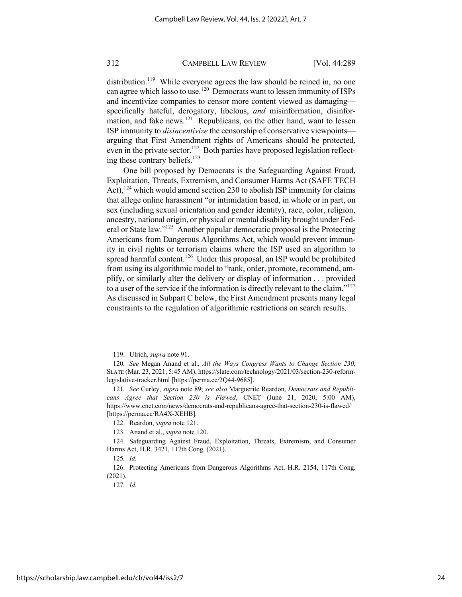distribution.<sup>119</sup> While everyone agrees the law should be reined in, no one can agree which lasso to use.120 Democrats want to lessen immunity of ISPs and incentivize companies to censor more content viewed as damaging specifically hateful, derogatory, libelous, *and* misinformation, disinformation, and fake news.<sup>121</sup> Republicans, on the other hand, want to lessen ISP immunity to *disincentivize* the censorship of conservative viewpoints arguing that First Amendment rights of Americans should be protected, even in the private sector.<sup>122</sup> Both parties have proposed legislation reflecting these contrary beliefs.<sup>123</sup>

One bill proposed by Democrats is the Safeguarding Against Fraud, Exploitation, Threats, Extremism, and Consumer Harms Act (SAFE TECH Act),<sup>124</sup> which would amend section 230 to abolish ISP immunity for claims that allege online harassment "or intimidation based, in whole or in part, on sex (including sexual orientation and gender identity), race, color, religion, ancestry, national origin, or physical or mental disability brought under Federal or State law."125 Another popular democratic proposal is the Protecting Americans from Dangerous Algorithms Act, which would prevent immunity in civil rights or terrorism claims where the ISP used an algorithm to spread harmful content.<sup>126</sup> Under this proposal, an ISP would be prohibited from using its algorithmic model to "rank, order, promote, recommend, amplify, or similarly alter the delivery or display of information . . . provided to a user of the service if the information is directly relevant to the claim." $127$ As discussed in Subpart C below, the First Amendment presents many legal constraints to the regulation of algorithmic restrictions on search results.

<sup>119.</sup> Ulrich, *supra* note 91.

<sup>120</sup>*. See* Megan Anand et al., *All the Ways Congress Wants to Change Section 230*, SLATE (Mar. 23, 2021, 5:45 AM), https://slate.com/technology/2021/03/section-230-reformlegislative-tracker.html [https://perma.cc/2Q44-9685].

<sup>121</sup>*. See* Curley, *supra* note 89; *see also* Marguerite Reardon, *Democrats and Republicans Agree that Section 230 is Flawed*, CNET (June 21, 2020, 5:00 AM), https://www.cnet.com/news/democrats-and-republicans-agree-that-section-230-is-flawed/ [https://perma.cc/RA4X-XEHB].

<sup>122.</sup> Reardon, *supra* note 121.

<sup>123.</sup> Anand et al., *supra* note 120.

<sup>124.</sup> Safeguarding Against Fraud, Exploitation, Threats, Extremism, and Consumer Harms Act, H.R. 3421, 117th Cong. (2021).

<sup>125</sup>*. Id.*

<sup>126.</sup> Protecting Americans from Dangerous Algorithms Act, H.R. 2154, 117th Cong. (2021).

<sup>127</sup>*. Id.*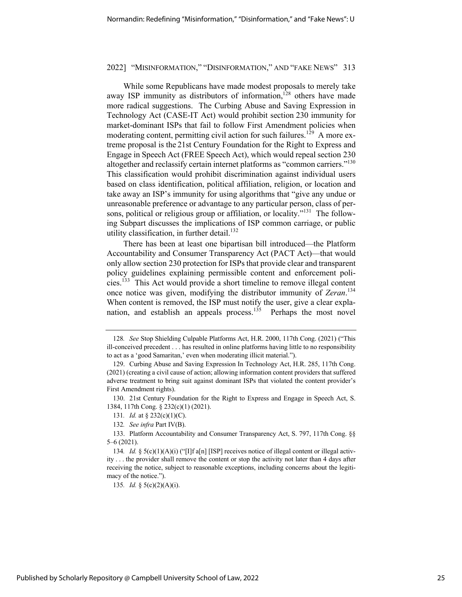While some Republicans have made modest proposals to merely take away ISP immunity as distributors of information, $128$  others have made more radical suggestions. The Curbing Abuse and Saving Expression in Technology Act (CASE-IT Act) would prohibit section 230 immunity for market-dominant ISPs that fail to follow First Amendment policies when moderating content, permitting civil action for such failures.<sup>129</sup> A more extreme proposal is the 21st Century Foundation for the Right to Express and Engage in Speech Act (FREE Speech Act), which would repeal section 230 altogether and reclassify certain internet platforms as "common carriers."<sup>130</sup> This classification would prohibit discrimination against individual users based on class identification, political affiliation, religion, or location and take away an ISP's immunity for using algorithms that "give any undue or unreasonable preference or advantage to any particular person, class of persons, political or religious group or affiliation, or locality."<sup>131</sup> The following Subpart discusses the implications of ISP common carriage, or public utility classification, in further detail. $132$ 

There has been at least one bipartisan bill introduced—the Platform Accountability and Consumer Transparency Act (PACT Act)—that would only allow section 230 protection for ISPs that provide clear and transparent policy guidelines explaining permissible content and enforcement policies.133 This Act would provide a short timeline to remove illegal content once notice was given, modifying the distributor immunity of *Zeran*. 134 When content is removed, the ISP must notify the user, give a clear explanation, and establish an appeals process.<sup>135</sup> Perhaps the most novel

135*. Id.* § 5(c)(2)(A)(i).

<sup>128</sup>*. See* Stop Shielding Culpable Platforms Act, H.R. 2000, 117th Cong. (2021) ("This ill-conceived precedent . . . has resulted in online platforms having little to no responsibility to act as a 'good Samaritan,' even when moderating illicit material.").

<sup>129.</sup> Curbing Abuse and Saving Expression In Technology Act, H.R. 285, 117th Cong. (2021) (creating a civil cause of action; allowing information content providers that suffered adverse treatment to bring suit against dominant ISPs that violated the content provider's First Amendment rights).

<sup>130.</sup> 21st Century Foundation for the Right to Express and Engage in Speech Act, S. 1384, 117th Cong. § 232(c)(1) (2021).

<sup>131</sup>*. Id.* at § 232(c)(1)(C).

<sup>132</sup>*. See infra* Part IV(B).

<sup>133.</sup> Platform Accountability and Consumer Transparency Act, S. 797, 117th Cong. §§ 5–6 (2021).

<sup>134</sup>*. Id.* § 5(c)(1)(A)(i) ("[I]f a[n] [ISP] receives notice of illegal content or illegal activity . . . the provider shall remove the content or stop the activity not later than 4 days after receiving the notice, subject to reasonable exceptions, including concerns about the legitimacy of the notice.").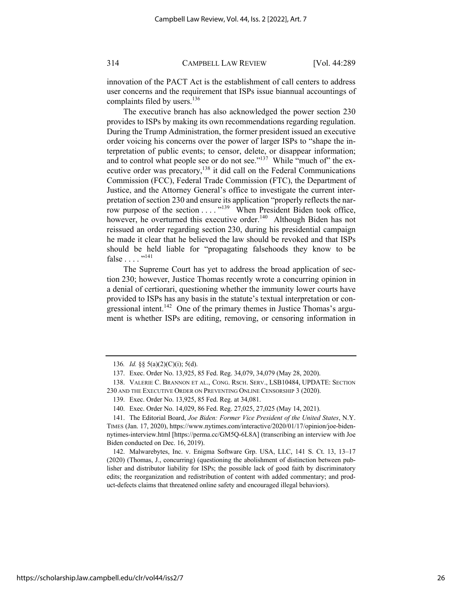innovation of the PACT Act is the establishment of call centers to address user concerns and the requirement that ISPs issue biannual accountings of complaints filed by users.<sup>136</sup>

The executive branch has also acknowledged the power section 230 provides to ISPs by making its own recommendations regarding regulation. During the Trump Administration, the former president issued an executive order voicing his concerns over the power of larger ISPs to "shape the interpretation of public events; to censor, delete, or disappear information; and to control what people see or do not see."<sup>137</sup> While "much of" the executive order was precatory,<sup>138</sup> it did call on the Federal Communications Commission (FCC), Federal Trade Commission (FTC), the Department of Justice, and the Attorney General's office to investigate the current interpretation of section 230 and ensure its application "properly reflects the narrow purpose of the section . . . . "<sup>139</sup> When President Biden took office, however, he overturned this executive order.<sup>140</sup> Although Biden has not reissued an order regarding section 230, during his presidential campaign he made it clear that he believed the law should be revoked and that ISPs should be held liable for "propagating falsehoods they know to be false  $\dots$  .  $\cdot$  .  $\cdot$  .  $\cdot$  .  $\cdot$  .  $\cdot$  .  $\cdot$  .  $\cdot$  .  $\cdot$  .  $\cdot$  .  $\cdot$  .  $\cdot$  .  $\cdot$  .  $\cdot$  .  $\cdot$  .  $\cdot$  .  $\cdot$  .  $\cdot$  .  $\cdot$  .  $\cdot$  .  $\cdot$  .  $\cdot$  .  $\cdot$  .  $\cdot$  .  $\cdot$  .  $\cdot$  .  $\cdot$  .  $\cdot$  .  $\cdot$  .  $\cdot$  .  $\cdot$ 

The Supreme Court has yet to address the broad application of section 230; however, Justice Thomas recently wrote a concurring opinion in a denial of certiorari, questioning whether the immunity lower courts have provided to ISPs has any basis in the statute's textual interpretation or congressional intent.<sup>142</sup> One of the primary themes in Justice Thomas's argument is whether ISPs are editing, removing, or censoring information in

<sup>136</sup>*. Id.* §§ 5(a)(2)(C)(i); 5(d).

<sup>137.</sup> Exec. Order No. 13,925, 85 Fed. Reg. 34,079, 34,079 (May 28, 2020).

<sup>138.</sup> VALERIE C. BRANNON ET AL., CONG. RSCH. SERV., LSB10484, UPDATE: SECTION 230 AND THE EXECUTIVE ORDER ON PREVENTING ONLINE CENSORSHIP 3 (2020).

<sup>139.</sup> Exec. Order No. 13,925, 85 Fed. Reg. at 34,081.

<sup>140.</sup> Exec. Order No. 14,029, 86 Fed. Reg. 27,025, 27,025 (May 14, 2021).

<sup>141.</sup> The Editorial Board, *Joe Biden: Former Vice President of the United States*, N.Y. TIMES (Jan. 17, 2020), https://www.nytimes.com/interactive/2020/01/17/opinion/joe-bidennytimes-interview.html [https://perma.cc/GM5Q-6L8A] (transcribing an interview with Joe Biden conducted on Dec. 16, 2019).

<sup>142.</sup> Malwarebytes, Inc. v. Enigma Software Grp. USA, LLC, 141 S. Ct. 13, 13–17 (2020) (Thomas, J., concurring) (questioning the abolishment of distinction between publisher and distributor liability for ISPs; the possible lack of good faith by discriminatory edits; the reorganization and redistribution of content with added commentary; and product-defects claims that threatened online safety and encouraged illegal behaviors).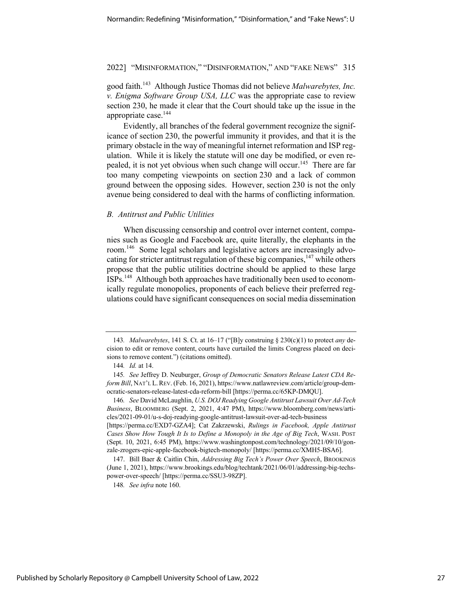good faith.143 Although Justice Thomas did not believe *Malwarebytes, Inc. v. Enigma Software Group USA, LLC* was the appropriate case to review section 230, he made it clear that the Court should take up the issue in the appropriate case.<sup>144</sup>

Evidently, all branches of the federal government recognize the significance of section 230, the powerful immunity it provides, and that it is the primary obstacle in the way of meaningful internet reformation and ISP regulation. While it is likely the statute will one day be modified, or even repealed, it is not yet obvious when such change will occur.<sup>145</sup> There are far too many competing viewpoints on section 230 and a lack of common ground between the opposing sides. However, section 230 is not the only avenue being considered to deal with the harms of conflicting information.

#### *B. Antitrust and Public Utilities*

When discussing censorship and control over internet content, companies such as Google and Facebook are, quite literally, the elephants in the room.146 Some legal scholars and legislative actors are increasingly advocating for stricter antitrust regulation of these big companies,  $147$  while others propose that the public utilities doctrine should be applied to these large ISPs.148 Although both approaches have traditionally been used to economically regulate monopolies, proponents of each believe their preferred regulations could have significant consequences on social media dissemination

148*. See infra* note 160.

<sup>143</sup>*. Malwarebytes*, 141 S. Ct. at 16–17 ("[B]y construing § 230(c)(1) to protect *any* decision to edit or remove content, courts have curtailed the limits Congress placed on decisions to remove content.") (citations omitted).

<sup>144</sup>*. Id.* at 14.

<sup>145</sup>*. See* Jeffrey D. Neuburger, *Group of Democratic Senators Release Latest CDA Reform Bill*, NAT'L L.REV. (Feb. 16, 2021), https://www.natlawreview.com/article/group-democratic-senators-release-latest-cda-reform-bill [https://perma.cc/65KP-DMQU].

<sup>146</sup>*. See* David McLaughlin, *U.S. DOJ Readying Google Antitrust Lawsuit Over Ad-Tech Business*, BLOOMBERG (Sept. 2, 2021, 4:47 PM), https://www.bloomberg.com/news/articles/2021-09-01/u-s-doj-readying-google-antitrust-lawsuit-over-ad-tech-business

<sup>[</sup>https://perma.cc/EXD7-GZA4]; Cat Zakrzewski, *Rulings in Facebook, Apple Antitrust Cases Show How Tough It Is to Define a Monopoly in the Age of Big Tech*, WASH. POST (Sept. 10, 2021, 6:45 PM), https://www.washingtonpost.com/technology/2021/09/10/gonzale-zrogers-epic-apple-facebook-bigtech-monopoly/ [https://perma.cc/XMH5-BSA6].

<sup>147.</sup> Bill Baer & Caitlin Chin, *Addressing Big Tech's Power Over Speech*, BROOKINGS (June 1, 2021), https://www.brookings.edu/blog/techtank/2021/06/01/addressing-big-techspower-over-speech/ [https://perma.cc/SSU3-98ZP].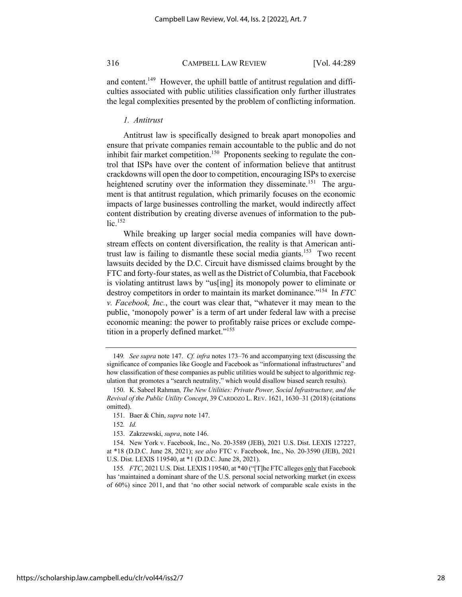and content.<sup>149</sup> However, the uphill battle of antitrust regulation and difficulties associated with public utilities classification only further illustrates the legal complexities presented by the problem of conflicting information.

#### *1. Antitrust*

Antitrust law is specifically designed to break apart monopolies and ensure that private companies remain accountable to the public and do not inhibit fair market competition.<sup>150</sup> Proponents seeking to regulate the control that ISPs have over the content of information believe that antitrust crackdowns will open the door to competition, encouraging ISPs to exercise heightened scrutiny over the information they disseminate.<sup>151</sup> The argument is that antitrust regulation, which primarily focuses on the economic impacts of large businesses controlling the market, would indirectly affect content distribution by creating diverse avenues of information to the pub $lic.<sup>152</sup>$ 

While breaking up larger social media companies will have downstream effects on content diversification, the reality is that American antitrust law is failing to dismantle these social media giants.<sup>153</sup> Two recent lawsuits decided by the D.C. Circuit have dismissed claims brought by the FTC and forty-four states, as well as the District of Columbia, that Facebook is violating antitrust laws by "us[ing] its monopoly power to eliminate or destroy competitors in order to maintain its market dominance."154 In *FTC v. Facebook, Inc.*, the court was clear that, "whatever it may mean to the public, 'monopoly power' is a term of art under federal law with a precise economic meaning: the power to profitably raise prices or exclude competition in a properly defined market."<sup>155</sup>

153. Zakrzewski, *supra*, note 146.

155*. FTC*, 2021 U.S. Dist. LEXIS 119540, at \*40 ("[T]he FTC alleges only that Facebook has 'maintained a dominant share of the U.S. personal social networking market (in excess of 60%) since 2011, and that 'no other social network of comparable scale exists in the

<sup>149</sup>*. See supra* note 147. *Cf. infra* notes 173–76 and accompanying text (discussing the significance of companies like Google and Facebook as "informational infrastructures" and how classification of these companies as public utilities would be subject to algorithmic regulation that promotes a "search neutrality," which would disallow biased search results).

<sup>150.</sup> K. Sabeel Rahman*, The New Utilities: Private Power, Social Infrastructure, and the Revival of the Public Utility Concept*, 39 CARDOZO L. REV. 1621, 1630–31 (2018) (citations omitted).

<sup>151.</sup> Baer & Chin, *supra* note 147.

<sup>152</sup>*. Id.*

<sup>154.</sup> New York v. Facebook, Inc., No. 20-3589 (JEB), 2021 U.S. Dist. LEXIS 127227, at \*18 (D.D.C. June 28, 2021); *see also* FTC v. Facebook, Inc., No. 20-3590 (JEB), 2021 U.S. Dist. LEXIS 119540, at \*1 (D.D.C. June 28, 2021).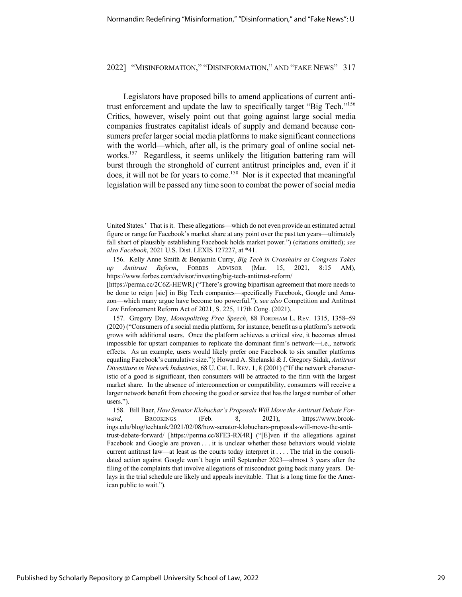Legislators have proposed bills to amend applications of current antitrust enforcement and update the law to specifically target "Big Tech."<sup>156</sup> Critics, however, wisely point out that going against large social media companies frustrates capitalist ideals of supply and demand because consumers prefer larger social media platforms to make significant connections with the world—which, after all, is the primary goal of online social networks.<sup>157</sup> Regardless, it seems unlikely the litigation battering ram will burst through the stronghold of current antitrust principles and, even if it does, it will not be for years to come.<sup>158</sup> Nor is it expected that meaningful legislation will be passed any time soon to combat the power of social media

United States.' That is it. These allegations—which do not even provide an estimated actual figure or range for Facebook's market share at any point over the past ten years—ultimately fall short of plausibly establishing Facebook holds market power.") (citations omitted); *see also Facebook*, 2021 U.S. Dist. LEXIS 127227, at \*41.

<sup>156.</sup> Kelly Anne Smith & Benjamin Curry, *Big Tech in Crosshairs as Congress Takes up Antitrust Reform*, FORBES ADVISOR (Mar. 15, 2021, 8:15 AM), https://www.forbes.com/advisor/investing/big-tech-antitrust-reform/

<sup>[</sup>https://perma.cc/2C6Z-HEWR] ("There's growing bipartisan agreement that more needs to be done to reign [sic] in Big Tech companies—specifically Facebook, Google and Amazon—which many argue have become too powerful."); *see also* Competition and Antitrust Law Enforcement Reform Act of 2021, S. 225, 117th Cong. (2021).

<sup>157.</sup> Gregory Day, *Monopolizing Free Speech*, 88 FORDHAM L. REV. 1315, 1358–59 (2020) ("Consumers of a social media platform, for instance, benefit as a platform's network grows with additional users. Once the platform achieves a critical size, it becomes almost impossible for upstart companies to replicate the dominant firm's network—i.e., network effects. As an example, users would likely prefer one Facebook to six smaller platforms equaling Facebook's cumulative size."); Howard A. Shelanski & J. Gregory Sidak, *Antitrust Divestiture in Network Industries*, 68 U. CHI. L. REV. 1, 8 (2001) ("If the network characteristic of a good is significant, then consumers will be attracted to the firm with the largest market share. In the absence of interconnection or compatibility, consumers will receive a larger network benefit from choosing the good or service that has the largest number of other users.").

<sup>158.</sup> Bill Baer, *How Senator Klobuchar's Proposals Will Move the Antitrust Debate For*ward, BROOKINGS (Feb. 8, 2021), https://www.brookings.edu/blog/techtank/2021/02/08/how-senator-klobuchars-proposals-will-move-the-antitrust-debate-forward/ [https://perma.cc/8FE3-RX4R] ("[E]ven if the allegations against Facebook and Google are proven . . . it is unclear whether those behaviors would violate current antitrust law—at least as the courts today interpret it . . . . The trial in the consolidated action against Google won't begin until September 2023—almost 3 years after the filing of the complaints that involve allegations of misconduct going back many years. Delays in the trial schedule are likely and appeals inevitable. That is a long time for the American public to wait.").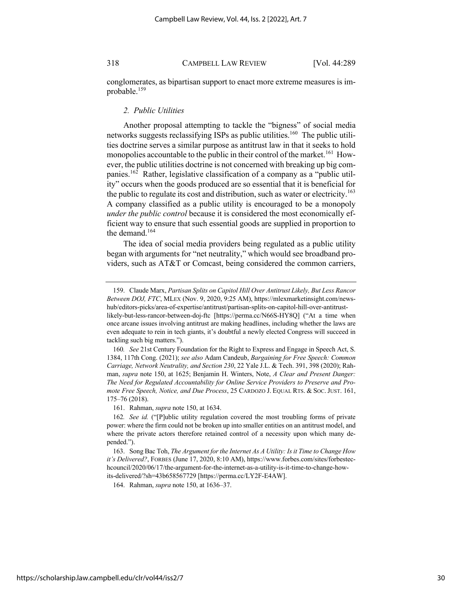conglomerates, as bipartisan support to enact more extreme measures is improbable.159

#### *2. Public Utilities*

Another proposal attempting to tackle the "bigness" of social media networks suggests reclassifying ISPs as public utilities.<sup>160</sup> The public utilities doctrine serves a similar purpose as antitrust law in that it seeks to hold monopolies accountable to the public in their control of the market.<sup>161</sup> However, the public utilities doctrine is not concerned with breaking up big companies.<sup>162</sup> Rather, legislative classification of a company as a "public utility" occurs when the goods produced are so essential that it is beneficial for the public to regulate its cost and distribution, such as water or electricity.<sup>163</sup> A company classified as a public utility is encouraged to be a monopoly *under the public control* because it is considered the most economically efficient way to ensure that such essential goods are supplied in proportion to the demand.<sup>164</sup>

The idea of social media providers being regulated as a public utility began with arguments for "net neutrality," which would see broadband providers, such as AT&T or Comcast, being considered the common carriers,

161. Rahman, *supra* note 150, at 1634.

164. Rahman, *supra* note 150, at 1636–37.

<sup>159.</sup> Claude Marx, *Partisan Splits on Capitol Hill Over Antitrust Likely, But Less Rancor Between DOJ, FTC*, MLEX (Nov. 9, 2020, 9:25 AM), https://mlexmarketinsight.com/newshub/editors-picks/area-of-expertise/antitrust/partisan-splits-on-capitol-hill-over-antitrustlikely-but-less-rancor-between-doj-ftc [https://perma.cc/N66S-HY8Q] ("At a time when once arcane issues involving antitrust are making headlines, including whether the laws are even adequate to rein in tech giants, it's doubtful a newly elected Congress will succeed in tackling such big matters.").

<sup>160</sup>*. See* 21st Century Foundation for the Right to Express and Engage in Speech Act, S. 1384, 117th Cong. (2021); *see also* Adam Candeub, *Bargaining for Free Speech: Common Carriage, Network Neutrality, and Section 230*, 22 Yale J.L. & Tech. 391, 398 (2020); Rahman, *supra* note 150, at 1625; Benjamin H. Winters, Note, *A Clear and Present Danger: The Need for Regulated Accountability for Online Service Providers to Preserve and Promote Free Speech, Notice, and Due Process*, 25 CARDOZO J. EQUAL RTS. & SOC. JUST. 161, 175–76 (2018).

<sup>162</sup>*. See id.* ("[P]ublic utility regulation covered the most troubling forms of private power: where the firm could not be broken up into smaller entities on an antitrust model, and where the private actors therefore retained control of a necessity upon which many depended.").

<sup>163.</sup> Song Bac Toh, *The Argument for the Internet As A Utility: Is it Time to Change How it's Delivered?*, FORBES (June 17, 2020, 8:10 AM), https://www.forbes.com/sites/forbestechcouncil/2020/06/17/the-argument-for-the-internet-as-a-utility-is-it-time-to-change-howits-delivered/?sh=43b658567729 [https://perma.cc/LY2F-E4AW].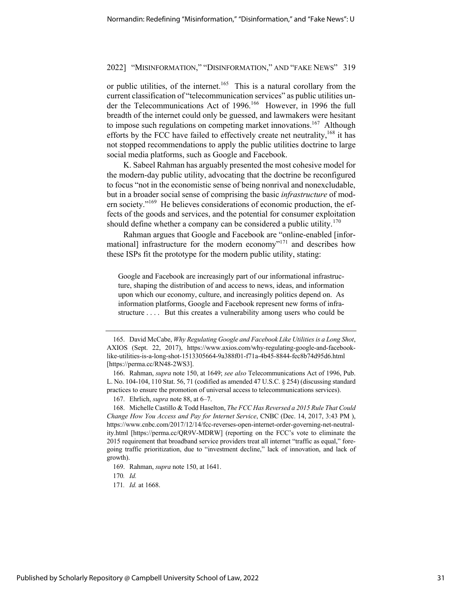or public utilities, of the internet.<sup>165</sup> This is a natural corollary from the current classification of "telecommunication services" as public utilities under the Telecommunications Act of 1996.<sup>166</sup> However, in 1996 the full breadth of the internet could only be guessed, and lawmakers were hesitant to impose such regulations on competing market innovations.<sup>167</sup> Although efforts by the FCC have failed to effectively create net neutrality,  $168$  it has not stopped recommendations to apply the public utilities doctrine to large social media platforms, such as Google and Facebook.

K. Sabeel Rahman has arguably presented the most cohesive model for the modern-day public utility, advocating that the doctrine be reconfigured to focus "not in the economistic sense of being nonrival and nonexcludable, but in a broader social sense of comprising the basic *infrastructure* of modern society."169 He believes considerations of economic production, the effects of the goods and services, and the potential for consumer exploitation should define whether a company can be considered a public utility.<sup>170</sup>

Rahman argues that Google and Facebook are "online-enabled [informational] infrastructure for the modern economy"<sup>171</sup> and describes how these ISPs fit the prototype for the modern public utility, stating:

Google and Facebook are increasingly part of our informational infrastructure, shaping the distribution of and access to news, ideas, and information upon which our economy, culture, and increasingly politics depend on. As information platforms, Google and Facebook represent new forms of infrastructure . . . . But this creates a vulnerability among users who could be

170*. Id.*

<sup>165.</sup> David McCabe, *Why Regulating Google and Facebook Like Utilities is a Long Shot*, AXIOS (Sept. 22, 2017), https://www.axios.com/why-regulating-google-and-facebooklike-utilities-is-a-long-shot-1513305664-9a388f01-f71a-4b45-8844-fec8b74d95d6.html [https://perma.cc/RN48-2WS3].

<sup>166.</sup> Rahman, *supra* note 150, at 1649; *see also* Telecommunications Act of 1996, Pub. L. No. 104-104, 110 Stat. 56, 71 (codified as amended 47 U.S.C. § 254) (discussing standard practices to ensure the promotion of universal access to telecommunications services).

<sup>167.</sup> Ehrlich, *supra* note 88, at 6–7.

<sup>168.</sup> Michelle Castillo & Todd Haselton, *The FCC Has Reversed a 2015 Rule That Could Change How You Access and Pay for Internet Service*, CNBC (Dec. 14, 2017, 3:43 PM ), https://www.cnbc.com/2017/12/14/fcc-reverses-open-internet-order-governing-net-neutrality.html [https://perma.cc/QR9V-MDRW] (reporting on the FCC's vote to eliminate the 2015 requirement that broadband service providers treat all internet "traffic as equal," foregoing traffic prioritization, due to "investment decline," lack of innovation, and lack of growth).

<sup>169.</sup> Rahman, *supra* note 150, at 1641.

<sup>171</sup>*. Id.* at 1668.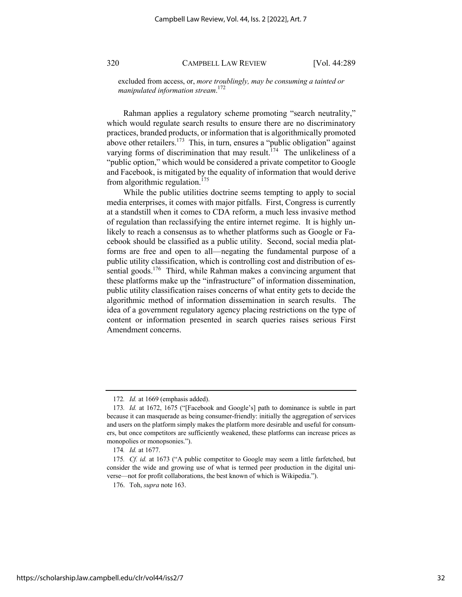excluded from access, or, *more troublingly, may be consuming a tainted or manipulated information stream*. 172

Rahman applies a regulatory scheme promoting "search neutrality," which would regulate search results to ensure there are no discriminatory practices, branded products, or information that is algorithmically promoted above other retailers.<sup>173</sup> This, in turn, ensures a "public obligation" against varying forms of discrimination that may result.<sup>174</sup> The unlikeliness of a "public option," which would be considered a private competitor to Google and Facebook, is mitigated by the equality of information that would derive from algorithmic regulation.<sup>175</sup>

While the public utilities doctrine seems tempting to apply to social media enterprises, it comes with major pitfalls. First, Congress is currently at a standstill when it comes to CDA reform, a much less invasive method of regulation than reclassifying the entire internet regime. It is highly unlikely to reach a consensus as to whether platforms such as Google or Facebook should be classified as a public utility. Second, social media platforms are free and open to all—negating the fundamental purpose of a public utility classification, which is controlling cost and distribution of essential goods.<sup>176</sup> Third, while Rahman makes a convincing argument that these platforms make up the "infrastructure" of information dissemination, public utility classification raises concerns of what entity gets to decide the algorithmic method of information dissemination in search results. The idea of a government regulatory agency placing restrictions on the type of content or information presented in search queries raises serious First Amendment concerns.

<sup>172</sup>*. Id.* at 1669 (emphasis added).

<sup>173</sup>*. Id.* at 1672, 1675 ("[Facebook and Google's] path to dominance is subtle in part because it can masquerade as being consumer-friendly: initially the aggregation of services and users on the platform simply makes the platform more desirable and useful for consumers, but once competitors are sufficiently weakened, these platforms can increase prices as monopolies or monopsonies.").

<sup>174</sup>*. Id.* at 1677.

<sup>175</sup>*. Cf. id.* at 1673 ("A public competitor to Google may seem a little farfetched, but consider the wide and growing use of what is termed peer production in the digital universe—not for profit collaborations, the best known of which is Wikipedia.").

<sup>176.</sup> Toh, *supra* note 163.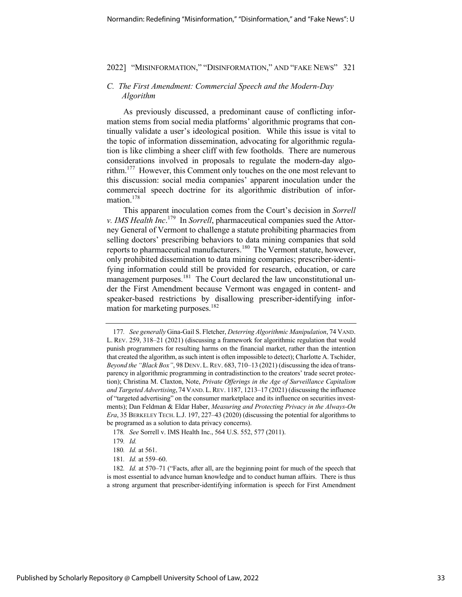#### *C. The First Amendment: Commercial Speech and the Modern-Day Algorithm*

As previously discussed, a predominant cause of conflicting information stems from social media platforms' algorithmic programs that continually validate a user's ideological position. While this issue is vital to the topic of information dissemination, advocating for algorithmic regulation is like climbing a sheer cliff with few footholds. There are numerous considerations involved in proposals to regulate the modern-day algorithm.177 However, this Comment only touches on the one most relevant to this discussion: social media companies' apparent inoculation under the commercial speech doctrine for its algorithmic distribution of information.178

This apparent inoculation comes from the Court's decision in *Sorrell v. IMS Health Inc*. 179 In *Sorrell*, pharmaceutical companies sued the Attorney General of Vermont to challenge a statute prohibiting pharmacies from selling doctors' prescribing behaviors to data mining companies that sold reports to pharmaceutical manufacturers.180 The Vermont statute, however, only prohibited dissemination to data mining companies; prescriber-identifying information could still be provided for research, education, or care management purposes.<sup>181</sup> The Court declared the law unconstitutional under the First Amendment because Vermont was engaged in content- and speaker-based restrictions by disallowing prescriber-identifying information for marketing purposes. $182$ 

178*. See* Sorrell v. IMS Health Inc., 564 U.S. 552, 577 (2011).

181*. Id.* at 559–60.

<sup>177</sup>*. See generally* Gina-Gail S. Fletcher, *Deterring Algorithmic Manipulation*, 74 VAND. L. REV. 259, 318–21 (2021) (discussing a framework for algorithmic regulation that would punish programmers for resulting harms on the financial market, rather than the intention that created the algorithm, as such intent is often impossible to detect); Charlotte A. Tschider, *Beyond the "Black Box"*, 98 DENV.L.REV. 683, 710–13 (2021) (discussing the idea of transparency in algorithmic programming in contradistinction to the creators' trade secret protection); Christina M. Claxton, Note, *Private Offerings in the Age of Surveillance Capitalism and Targeted Advertising*, 74 VAND. L.REV. 1187, 1213–17 (2021) (discussing the influence of "targeted advertising" on the consumer marketplace and its influence on securities investments); Dan Feldman & Eldar Haber, *Measuring and Protecting Privacy in the Always-On Era*, 35 BERKELEY TECH. L.J. 197, 227–43 (2020) (discussing the potential for algorithms to be programed as a solution to data privacy concerns).

<sup>179</sup>*. Id.*

<sup>180</sup>*. Id.* at 561.

<sup>182</sup>*. Id.* at 570–71 ("Facts, after all, are the beginning point for much of the speech that is most essential to advance human knowledge and to conduct human affairs. There is thus a strong argument that prescriber-identifying information is speech for First Amendment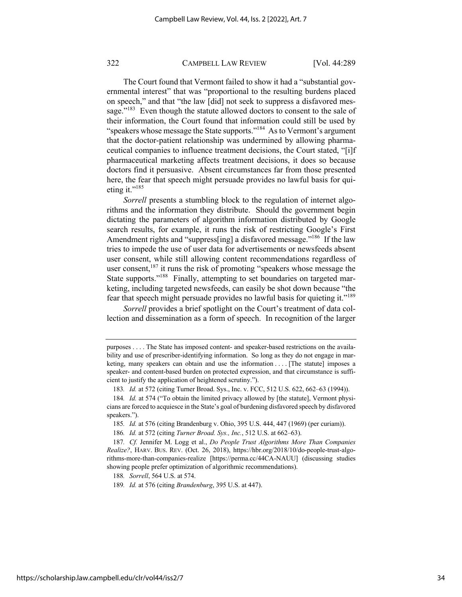The Court found that Vermont failed to show it had a "substantial governmental interest" that was "proportional to the resulting burdens placed on speech," and that "the law [did] not seek to suppress a disfavored message."<sup>183</sup> Even though the statute allowed doctors to consent to the sale of their information, the Court found that information could still be used by "speakers whose message the State supports."<sup>184</sup> As to Vermont's argument that the doctor-patient relationship was undermined by allowing pharmaceutical companies to influence treatment decisions, the Court stated, "[i]f pharmaceutical marketing affects treatment decisions, it does so because doctors find it persuasive. Absent circumstances far from those presented here, the fear that speech might persuade provides no lawful basis for quieting it." $^{185}$ 

*Sorrell* presents a stumbling block to the regulation of internet algorithms and the information they distribute. Should the government begin dictating the parameters of algorithm information distributed by Google search results, for example, it runs the risk of restricting Google's First Amendment rights and "suppress[ing] a disfavored message."<sup>186</sup> If the law tries to impede the use of user data for advertisements or newsfeeds absent user consent, while still allowing content recommendations regardless of user consent, $187$  it runs the risk of promoting "speakers whose message the State supports."<sup>188</sup> Finally, attempting to set boundaries on targeted marketing, including targeted newsfeeds, can easily be shot down because "the fear that speech might persuade provides no lawful basis for quieting it."<sup>189</sup>

*Sorrell* provides a brief spotlight on the Court's treatment of data collection and dissemination as a form of speech. In recognition of the larger

188*. Sorrell*, 564 U.S. at 574.

189*. Id.* at 576 (citing *Brandenburg*, 395 U.S. at 447).

purposes . . . . The State has imposed content- and speaker-based restrictions on the availability and use of prescriber-identifying information. So long as they do not engage in marketing, many speakers can obtain and use the information . . . . [The statute] imposes a speaker- and content-based burden on protected expression, and that circumstance is sufficient to justify the application of heightened scrutiny.").

<sup>183</sup>*. Id.* at 572 (citing Turner Broad. Sys., Inc. v. FCC, 512 U.S. 622, 662–63 (1994)).

<sup>184</sup>*. Id.* at 574 ("To obtain the limited privacy allowed by [the statute], Vermont physicians are forced to acquiesce in the State's goal of burdening disfavored speech by disfavored speakers.").

<sup>185</sup>*. Id.* at 576 (citing Brandenburg v. Ohio, 395 U.S. 444, 447 (1969) (per curiam)).

<sup>186</sup>*. Id.* at 572 (citing *Turner Broad. Sys., Inc.*, 512 U.S. at 662–63).

<sup>187</sup>*. Cf.* Jennifer M. Logg et al., *Do People Trust Algorithms More Than Companies Realize?*, HARV. BUS. REV. (Oct. 26, 2018), https://hbr.org/2018/10/do-people-trust-algorithms-more-than-companies-realize [https://perma.cc/44CA-NAUU] (discussing studies showing people prefer optimization of algorithmic recommendations).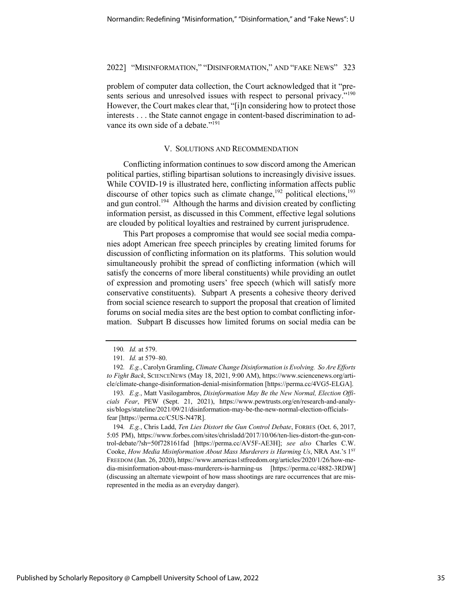problem of computer data collection, the Court acknowledged that it "presents serious and unresolved issues with respect to personal privacy."<sup>190</sup> However, the Court makes clear that, "[i]n considering how to protect those interests . . . the State cannot engage in content-based discrimination to advance its own side of a debate."<sup>191</sup>

#### V. SOLUTIONS AND RECOMMENDATION

Conflicting information continues to sow discord among the American political parties, stifling bipartisan solutions to increasingly divisive issues. While COVID-19 is illustrated here, conflicting information affects public discourse of other topics such as climate change,<sup>192</sup> political elections,<sup>193</sup> and gun control.<sup>194</sup> Although the harms and division created by conflicting information persist, as discussed in this Comment, effective legal solutions are clouded by political loyalties and restrained by current jurisprudence.

This Part proposes a compromise that would see social media companies adopt American free speech principles by creating limited forums for discussion of conflicting information on its platforms. This solution would simultaneously prohibit the spread of conflicting information (which will satisfy the concerns of more liberal constituents) while providing an outlet of expression and promoting users' free speech (which will satisfy more conservative constituents). Subpart A presents a cohesive theory derived from social science research to support the proposal that creation of limited forums on social media sites are the best option to combat conflicting information. Subpart B discusses how limited forums on social media can be

194*. E.g.*, Chris Ladd, *Ten Lies Distort the Gun Control Debate*, FORBES (Oct. 6, 2017, 5:05 PM), https://www.forbes.com/sites/chrisladd/2017/10/06/ten-lies-distort-the-gun-control-debate/?sh=50f728161fad [https://perma.cc/AV5F-AE3H]; *see also* Charles C.W. Cooke, *How Media Misinformation About Mass Murderers is Harming Us*, NRA AM.'s 1<sup>ST</sup> FREEDOM (Jan. 26, 2020), https://www.americas1stfreedom.org/articles/2020/1/26/how-media-misinformation-about-mass-murderers-is-harming-us [https://perma.cc/4882-3RDW] (discussing an alternate viewpoint of how mass shootings are rare occurrences that are misrepresented in the media as an everyday danger).

<sup>190</sup>*. Id.* at 579.

<sup>191</sup>*. Id.* at 579–80.

<sup>192</sup>*. E.g.*, Carolyn Gramling, *Climate Change Disinformation is Evolving. So Are Efforts to Fight Back*, SCIENCENEWS (May 18, 2021, 9:00 AM), https://www.sciencenews.org/article/climate-change-disinformation-denial-misinformation [https://perma.cc/4VG5-ELGA].

<sup>193</sup>*. E.g.*, Matt Vasilogambros, *Disinformation May Be the New Normal, Election Officials Fear*, PEW (Sept. 21, 2021), https://www.pewtrusts.org/en/research-and-analysis/blogs/stateline/2021/09/21/disinformation-may-be-the-new-normal-election-officialsfear [https://perma.cc/C5US-N47R].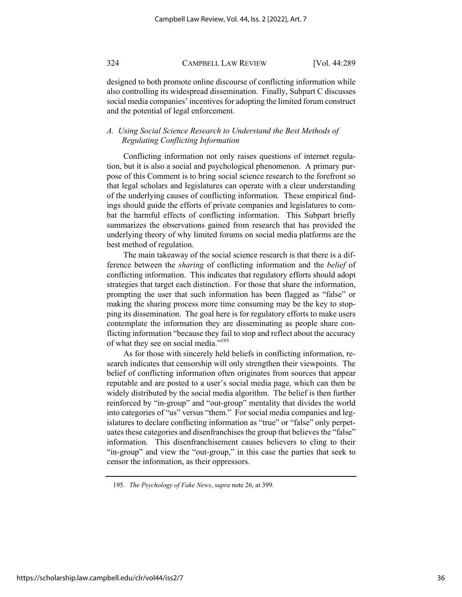designed to both promote online discourse of conflicting information while also controlling its widespread dissemination. Finally, Subpart C discusses social media companies' incentives for adopting the limited forum construct and the potential of legal enforcement.

#### *A. Using Social Science Research to Understand the Best Methods of Regulating Conflicting Information*

Conflicting information not only raises questions of internet regulation, but it is also a social and psychological phenomenon. A primary purpose of this Comment is to bring social science research to the forefront so that legal scholars and legislatures can operate with a clear understanding of the underlying causes of conflicting information. These empirical findings should guide the efforts of private companies and legislatures to combat the harmful effects of conflicting information. This Subpart briefly summarizes the observations gained from research that has provided the underlying theory of why limited forums on social media platforms are the best method of regulation.

The main takeaway of the social science research is that there is a difference between the *sharing* of conflicting information and the *belief* of conflicting information. This indicates that regulatory efforts should adopt strategies that target each distinction. For those that share the information, prompting the user that such information has been flagged as "false" or making the sharing process more time consuming may be the key to stopping its dissemination. The goal here is for regulatory efforts to make users contemplate the information they are disseminating as people share conflicting information "because they fail to stop and reflect about the accuracy of what they see on social media."195

As for those with sincerely held beliefs in conflicting information, research indicates that censorship will only strengthen their viewpoints. The belief of conflicting information often originates from sources that appear reputable and are posted to a user's social media page, which can then be widely distributed by the social media algorithm. The belief is then further reinforced by "in-group" and "out-group" mentality that divides the world into categories of "us" versus "them." For social media companies and legislatures to declare conflicting information as "true" or "false" only perpetuates these categories and disenfranchises the group that believes the "false" information. This disenfranchisement causes believers to cling to their "in-group" and view the "out-group," in this case the parties that seek to censor the information, as their oppressors.

<sup>195</sup>*. The Psychology of Fake News*, *supra* note 26, at 399.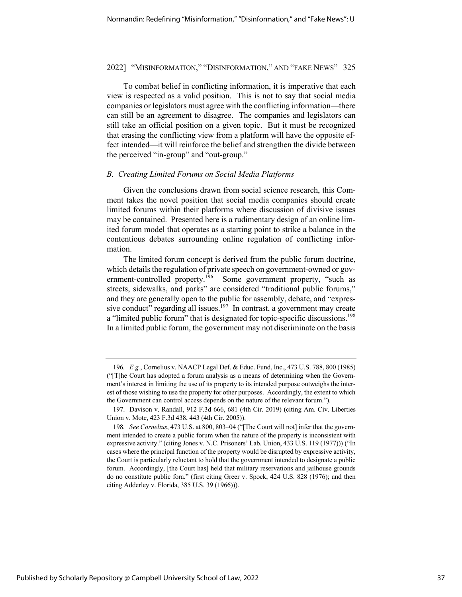To combat belief in conflicting information, it is imperative that each view is respected as a valid position. This is not to say that social media companies or legislators must agree with the conflicting information—there can still be an agreement to disagree. The companies and legislators can still take an official position on a given topic. But it must be recognized that erasing the conflicting view from a platform will have the opposite effect intended—it will reinforce the belief and strengthen the divide between the perceived "in-group" and "out-group."

#### *B. Creating Limited Forums on Social Media Platforms*

Given the conclusions drawn from social science research, this Comment takes the novel position that social media companies should create limited forums within their platforms where discussion of divisive issues may be contained. Presented here is a rudimentary design of an online limited forum model that operates as a starting point to strike a balance in the contentious debates surrounding online regulation of conflicting information.

The limited forum concept is derived from the public forum doctrine, which details the regulation of private speech on government-owned or government-controlled property.<sup>196</sup> Some government property, "such as streets, sidewalks, and parks" are considered "traditional public forums," and they are generally open to the public for assembly, debate, and "expressive conduct" regarding all issues.<sup>197</sup> In contrast, a government may create a "limited public forum" that is designated for topic-specific discussions.<sup>198</sup> In a limited public forum, the government may not discriminate on the basis

<sup>196</sup>*. E.g.*, Cornelius v. NAACP Legal Def. & Educ. Fund, Inc., 473 U.S. 788, 800 (1985) ("[T]he Court has adopted a forum analysis as a means of determining when the Government's interest in limiting the use of its property to its intended purpose outweighs the interest of those wishing to use the property for other purposes. Accordingly, the extent to which the Government can control access depends on the nature of the relevant forum.").

<sup>197.</sup> Davison v. Randall, 912 F.3d 666, 681 (4th Cir. 2019) (citing Am. Civ. Liberties Union v. Mote, 423 F.3d 438, 443 (4th Cir. 2005)).

<sup>198</sup>*. See Cornelius*, 473 U.S. at 800, 803–04 ("[The Court will not] infer that the government intended to create a public forum when the nature of the property is inconsistent with expressive activity." (citing Jones v. N.C. Prisoners' Lab. Union, 433 U.S. 119 (1977))) ("In cases where the principal function of the property would be disrupted by expressive activity, the Court is particularly reluctant to hold that the government intended to designate a public forum. Accordingly, [the Court has] held that military reservations and jailhouse grounds do no constitute public fora." (first citing Greer v. Spock, 424 U.S. 828 (1976); and then citing Adderley v. Florida, 385 U.S. 39 (1966))).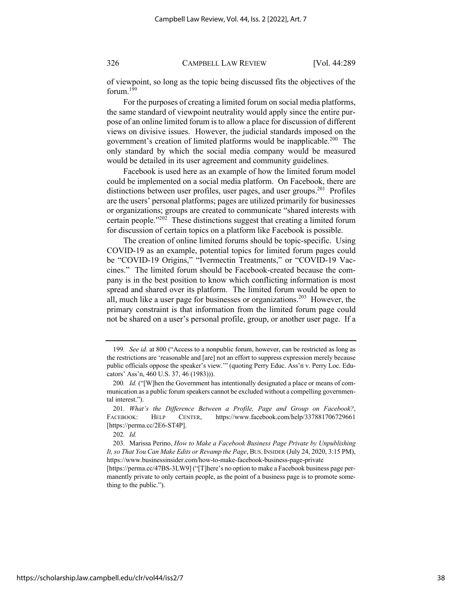of viewpoint, so long as the topic being discussed fits the objectives of the forum.199

For the purposes of creating a limited forum on social media platforms, the same standard of viewpoint neutrality would apply since the entire purpose of an online limited forum is to allow a place for discussion of different views on divisive issues. However, the judicial standards imposed on the government's creation of limited platforms would be inapplicable.<sup>200</sup> The only standard by which the social media company would be measured would be detailed in its user agreement and community guidelines.

Facebook is used here as an example of how the limited forum model could be implemented on a social media platform. On Facebook, there are distinctions between user profiles, user pages, and user groups.<sup>201</sup> Profiles are the users' personal platforms; pages are utilized primarily for businesses or organizations; groups are created to communicate "shared interests with certain people."202 These distinctions suggest that creating a limited forum for discussion of certain topics on a platform like Facebook is possible.

The creation of online limited forums should be topic-specific. Using COVID-19 as an example, potential topics for limited forum pages could be "COVID-19 Origins," "Ivermectin Treatments," or "COVID-19 Vaccines." The limited forum should be Facebook-created because the company is in the best position to know which conflicting information is most spread and shared over its platform. The limited forum would be open to all, much like a user page for businesses or organizations.203 However, the primary constraint is that information from the limited forum page could not be shared on a user's personal profile, group, or another user page. If a

<sup>199</sup>*. See id.* at 800 ("Access to a nonpublic forum, however, can be restricted as long as the restrictions are 'reasonable and [are] not an effort to suppress expression merely because public officials oppose the speaker's view.'" (quoting Perry Educ. Ass'n v. Perry Loc. Educators' Ass'n, 460 U.S. 37, 46 (1983))).

<sup>200</sup>*. Id.* ("[W]hen the Government has intentionally designated a place or means of communication as a public forum speakers cannot be excluded without a compelling governmental interest.").

<sup>201</sup>*. What's the Difference Between a Profile, Page and Group on Facebook?*, FACEBOOK: HELP CENTER, https://www.facebook.com/help/337881706729661 [https://perma.cc/2E6-ST4P].

<sup>202</sup>*. Id.*

<sup>203.</sup> Marissa Perino, *How to Make a Facebook Business Page Private by Unpublishing It, so That You Can Make Edits or Revamp the Page*, BUS.INSIDER (July 24, 2020, 3:15 PM), https://www.businessinsider.com/how-to-make-facebook-business-page-private

<sup>[</sup>https://perma.cc/47BS-3LW9] ("[T]here's no option to make a Facebook business page permanently private to only certain people, as the point of a business page is to promote something to the public.").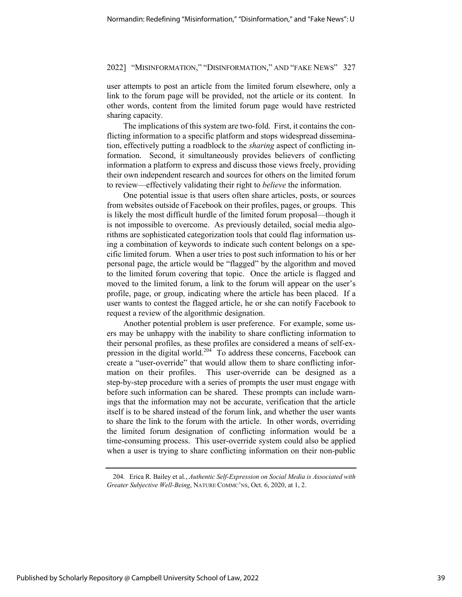user attempts to post an article from the limited forum elsewhere, only a link to the forum page will be provided, not the article or its content. In other words, content from the limited forum page would have restricted sharing capacity.

The implications of this system are two-fold. First, it contains the conflicting information to a specific platform and stops widespread dissemination, effectively putting a roadblock to the *sharing* aspect of conflicting information. Second, it simultaneously provides believers of conflicting information a platform to express and discuss those views freely, providing their own independent research and sources for others on the limited forum to review—effectively validating their right to *believe* the information.

One potential issue is that users often share articles, posts, or sources from websites outside of Facebook on their profiles, pages, or groups. This is likely the most difficult hurdle of the limited forum proposal—though it is not impossible to overcome. As previously detailed, social media algorithms are sophisticated categorization tools that could flag information using a combination of keywords to indicate such content belongs on a specific limited forum. When a user tries to post such information to his or her personal page, the article would be "flagged" by the algorithm and moved to the limited forum covering that topic. Once the article is flagged and moved to the limited forum, a link to the forum will appear on the user's profile, page, or group, indicating where the article has been placed. If a user wants to contest the flagged article, he or she can notify Facebook to request a review of the algorithmic designation.

Another potential problem is user preference. For example, some users may be unhappy with the inability to share conflicting information to their personal profiles, as these profiles are considered a means of self-expression in the digital world.<sup>204</sup> To address these concerns, Facebook can create a "user-override" that would allow them to share conflicting information on their profiles. This user-override can be designed as a step-by-step procedure with a series of prompts the user must engage with before such information can be shared. These prompts can include warnings that the information may not be accurate, verification that the article itself is to be shared instead of the forum link, and whether the user wants to share the link to the forum with the article. In other words, overriding the limited forum designation of conflicting information would be a time-consuming process. This user-override system could also be applied when a user is trying to share conflicting information on their non-public

<sup>204.</sup> Erica R. Bailey et al., *Authentic Self-Expression on Social Media is Associated with Greater Subjective Well-Being*, NATURE COMMC'NS, Oct. 6, 2020, at 1, 2.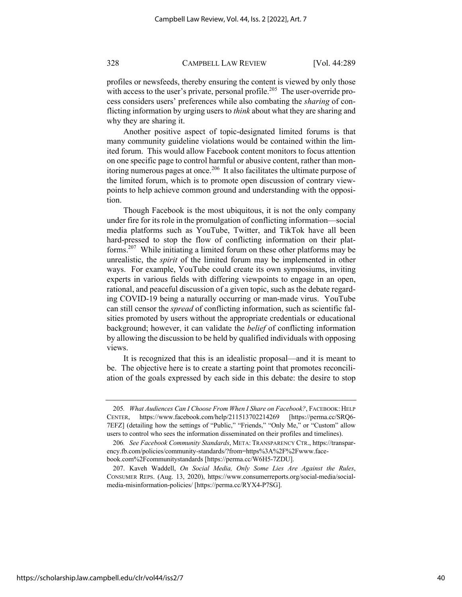profiles or newsfeeds, thereby ensuring the content is viewed by only those with access to the user's private, personal profile.<sup>205</sup> The user-override process considers users' preferences while also combating the *sharing* of conflicting information by urging users to *think* about what they are sharing and why they are sharing it.

Another positive aspect of topic-designated limited forums is that many community guideline violations would be contained within the limited forum. This would allow Facebook content monitors to focus attention on one specific page to control harmful or abusive content, rather than monitoring numerous pages at once.206 It also facilitates the ultimate purpose of the limited forum, which is to promote open discussion of contrary viewpoints to help achieve common ground and understanding with the opposition.

Though Facebook is the most ubiquitous, it is not the only company under fire for its role in the promulgation of conflicting information—social media platforms such as YouTube, Twitter, and TikTok have all been hard-pressed to stop the flow of conflicting information on their platforms.207 While initiating a limited forum on these other platforms may be unrealistic, the *spirit* of the limited forum may be implemented in other ways. For example, YouTube could create its own symposiums, inviting experts in various fields with differing viewpoints to engage in an open, rational, and peaceful discussion of a given topic, such as the debate regarding COVID-19 being a naturally occurring or man-made virus. YouTube can still censor the *spread* of conflicting information, such as scientific falsities promoted by users without the appropriate credentials or educational background; however, it can validate the *belief* of conflicting information by allowing the discussion to be held by qualified individuals with opposing views.

It is recognized that this is an idealistic proposal—and it is meant to be. The objective here is to create a starting point that promotes reconciliation of the goals expressed by each side in this debate: the desire to stop

<sup>205</sup>*. What Audiences Can I Choose From When I Share on Facebook?*, FACEBOOK: HELP CENTER, https://www.facebook.com/help/211513702214269 [https://perma.cc/SRQ6- 7EFZ] (detailing how the settings of "Public," "Friends," "Only Me," or "Custom" allow users to control who sees the information disseminated on their profiles and timelines).

<sup>206</sup>*. See Facebook Community Standards*, META: TRANSPARENCY CTR., https://transparency.fb.com/policies/community-standards/?from=https%3A%2F%2Fwww.facebook.com%2Fcommunitystandards [https://perma.cc/W6H5-7ZDU].

<sup>207.</sup> Kaveh Waddell, *On Social Media, Only Some Lies Are Against the Rules*, CONSUMER REPS. (Aug. 13, 2020), https://www.consumerreports.org/social-media/socialmedia-misinformation-policies/ [https://perma.cc/RYX4-P7SG].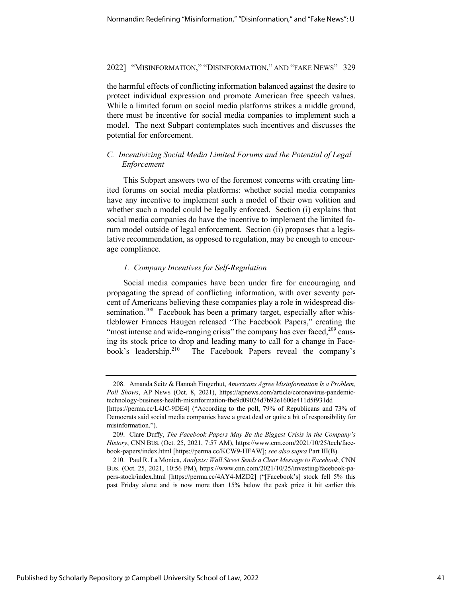the harmful effects of conflicting information balanced against the desire to protect individual expression and promote American free speech values. While a limited forum on social media platforms strikes a middle ground, there must be incentive for social media companies to implement such a model. The next Subpart contemplates such incentives and discusses the potential for enforcement.

#### *C. Incentivizing Social Media Limited Forums and the Potential of Legal Enforcement*

This Subpart answers two of the foremost concerns with creating limited forums on social media platforms: whether social media companies have any incentive to implement such a model of their own volition and whether such a model could be legally enforced. Section (i) explains that social media companies do have the incentive to implement the limited forum model outside of legal enforcement. Section (ii) proposes that a legislative recommendation, as opposed to regulation, may be enough to encourage compliance.

#### *1. Company Incentives for Self-Regulation*

Social media companies have been under fire for encouraging and propagating the spread of conflicting information, with over seventy percent of Americans believing these companies play a role in widespread dissemination.<sup>208</sup> Facebook has been a primary target, especially after whistleblower Frances Haugen released "The Facebook Papers," creating the "most intense and wide-ranging crisis" the company has ever faced, $209$  causing its stock price to drop and leading many to call for a change in Facebook's leadership.<sup>210</sup> The Facebook Papers reveal the company's

<sup>208.</sup> Amanda Seitz & Hannah Fingerhut, *Americans Agree Misinformation Is a Problem, Poll Shows*, AP NEWS (Oct. 8, 2021), https://apnews.com/article/coronavirus-pandemictechnology-business-health-misinformation-fbe9d09024d7b92e1600e411d5f931dd

<sup>[</sup>https://perma.cc/L4JC-9DE4] ("According to the poll, 79% of Republicans and 73% of Democrats said social media companies have a great deal or quite a bit of responsibility for misinformation.").

<sup>209.</sup> Clare Duffy, *The Facebook Papers May Be the Biggest Crisis in the Company's History*, CNN BUS. (Oct. 25, 2021, 7:57 AM), https://www.cnn.com/2021/10/25/tech/facebook-papers/index.html [https://perma.cc/KCW9-HFAW]; *see also supra* Part III(B).

<sup>210.</sup> Paul R. La Monica, *Analysis: Wall Street Sends a Clear Message to Facebook*, CNN BUS. (Oct. 25, 2021, 10:56 PM), https://www.cnn.com/2021/10/25/investing/facebook-papers-stock/index.html [https://perma.cc/4AY4-MZD2] ("[Facebook's] stock fell 5% this past Friday alone and is now more than 15% below the peak price it hit earlier this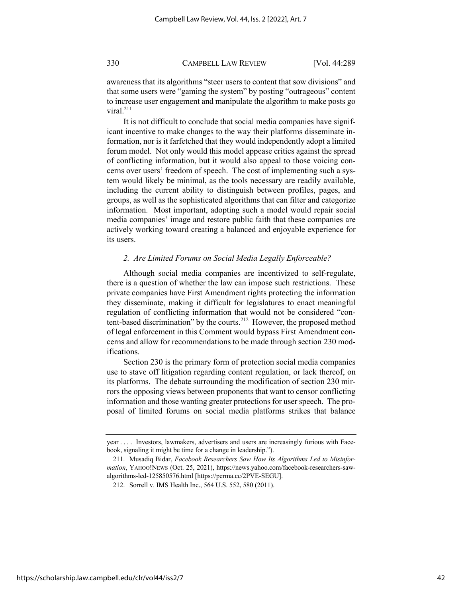awareness that its algorithms "steer users to content that sow divisions" and that some users were "gaming the system" by posting "outrageous" content to increase user engagement and manipulate the algorithm to make posts go viral. $^{211}$ 

It is not difficult to conclude that social media companies have significant incentive to make changes to the way their platforms disseminate information, nor is it farfetched that they would independently adopt a limited forum model. Not only would this model appease critics against the spread of conflicting information, but it would also appeal to those voicing concerns over users' freedom of speech. The cost of implementing such a system would likely be minimal, as the tools necessary are readily available, including the current ability to distinguish between profiles, pages, and groups, as well as the sophisticated algorithms that can filter and categorize information. Most important, adopting such a model would repair social media companies' image and restore public faith that these companies are actively working toward creating a balanced and enjoyable experience for its users.

#### *2. Are Limited Forums on Social Media Legally Enforceable?*

Although social media companies are incentivized to self-regulate, there is a question of whether the law can impose such restrictions. These private companies have First Amendment rights protecting the information they disseminate, making it difficult for legislatures to enact meaningful regulation of conflicting information that would not be considered "content-based discrimination" by the courts.212 However, the proposed method of legal enforcement in this Comment would bypass First Amendment concerns and allow for recommendations to be made through section 230 modifications.

Section 230 is the primary form of protection social media companies use to stave off litigation regarding content regulation, or lack thereof, on its platforms. The debate surrounding the modification of section 230 mirrors the opposing views between proponents that want to censor conflicting information and those wanting greater protections for user speech. The proposal of limited forums on social media platforms strikes that balance

year . . . . Investors, lawmakers, advertisers and users are increasingly furious with Facebook, signaling it might be time for a change in leadership.").

<sup>211.</sup> Musadiq Bidar, *Facebook Researchers Saw How Its Algorithms Led to Misinformation*, YAHOO!NEWS (Oct. 25, 2021), https://news.yahoo.com/facebook-researchers-sawalgorithms-led-125850576.html [https://perma.cc/2PVE-SEGU].

<sup>212.</sup> Sorrell v. IMS Health Inc., 564 U.S. 552, 580 (2011).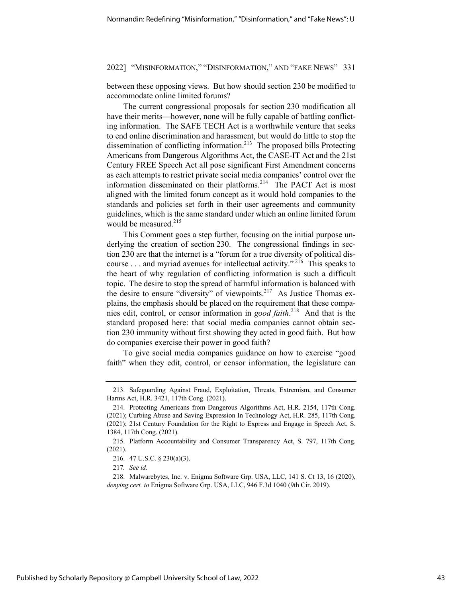between these opposing views. But how should section 230 be modified to accommodate online limited forums?

The current congressional proposals for section 230 modification all have their merits—however, none will be fully capable of battling conflicting information. The SAFE TECH Act is a worthwhile venture that seeks to end online discrimination and harassment, but would do little to stop the dissemination of conflicting information.213 The proposed bills Protecting Americans from Dangerous Algorithms Act, the CASE-IT Act and the 21st Century FREE Speech Act all pose significant First Amendment concerns as each attempts to restrict private social media companies' control over the information disseminated on their platforms.<sup>214</sup> The PACT Act is most aligned with the limited forum concept as it would hold companies to the standards and policies set forth in their user agreements and community guidelines, which is the same standard under which an online limited forum would be measured.<sup>215</sup>

This Comment goes a step further, focusing on the initial purpose underlying the creation of section 230. The congressional findings in section 230 are that the internet is a "forum for a true diversity of political discourse . . . and myriad avenues for intellectual activity."<sup>216</sup> This speaks to the heart of why regulation of conflicting information is such a difficult topic. The desire to stop the spread of harmful information is balanced with the desire to ensure "diversity" of viewpoints.<sup>217</sup> As Justice Thomas explains, the emphasis should be placed on the requirement that these companies edit, control, or censor information in *good faith*. 218 And that is the standard proposed here: that social media companies cannot obtain section 230 immunity without first showing they acted in good faith. But how do companies exercise their power in good faith?

To give social media companies guidance on how to exercise "good faith" when they edit, control, or censor information, the legislature can

<sup>213.</sup> Safeguarding Against Fraud, Exploitation, Threats, Extremism, and Consumer Harms Act, H.R. 3421, 117th Cong. (2021).

<sup>214.</sup> Protecting Americans from Dangerous Algorithms Act, H.R. 2154, 117th Cong. (2021); Curbing Abuse and Saving Expression In Technology Act, H.R. 285, 117th Cong. (2021); 21st Century Foundation for the Right to Express and Engage in Speech Act, S. 1384, 117th Cong. (2021).

<sup>215.</sup> Platform Accountability and Consumer Transparency Act, S. 797, 117th Cong. (2021).

<sup>216.</sup> 47 U.S.C. § 230(a)(3).

<sup>217</sup>*. See id.*

<sup>218.</sup> Malwarebytes, Inc. v. Enigma Software Grp. USA, LLC, 141 S. Ct 13, 16 (2020), *denying cert. to* Enigma Software Grp. USA, LLC, 946 F.3d 1040 (9th Cir. 2019).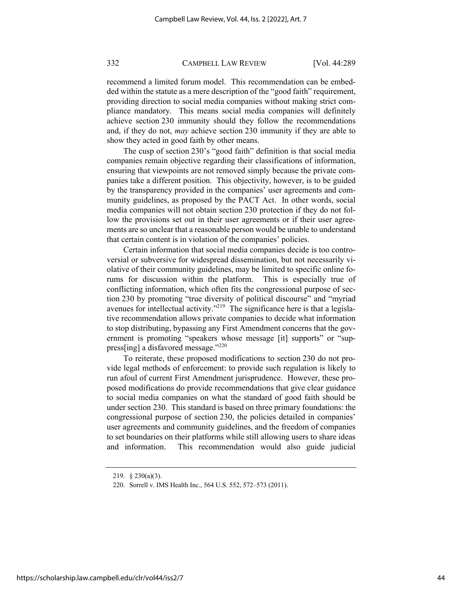recommend a limited forum model. This recommendation can be embedded within the statute as a mere description of the "good faith" requirement, providing direction to social media companies without making strict compliance mandatory. This means social media companies will definitely achieve section 230 immunity should they follow the recommendations and, if they do not, *may* achieve section 230 immunity if they are able to show they acted in good faith by other means.

The cusp of section 230's "good faith" definition is that social media companies remain objective regarding their classifications of information, ensuring that viewpoints are not removed simply because the private companies take a different position. This objectivity, however, is to be guided by the transparency provided in the companies' user agreements and community guidelines, as proposed by the PACT Act. In other words, social media companies will not obtain section 230 protection if they do not follow the provisions set out in their user agreements or if their user agreements are so unclear that a reasonable person would be unable to understand that certain content is in violation of the companies' policies.

Certain information that social media companies decide is too controversial or subversive for widespread dissemination, but not necessarily violative of their community guidelines, may be limited to specific online forums for discussion within the platform. This is especially true of conflicting information, which often fits the congressional purpose of section 230 by promoting "true diversity of political discourse" and "myriad avenues for intellectual activity."<sup>219</sup> The significance here is that a legislative recommendation allows private companies to decide what information to stop distributing, bypassing any First Amendment concerns that the government is promoting "speakers whose message [it] supports" or "suppress[ing] a disfavored message."<sup>220</sup>

To reiterate, these proposed modifications to section 230 do not provide legal methods of enforcement: to provide such regulation is likely to run afoul of current First Amendment jurisprudence. However, these proposed modifications do provide recommendations that give clear guidance to social media companies on what the standard of good faith should be under section 230. This standard is based on three primary foundations: the congressional purpose of section 230, the policies detailed in companies' user agreements and community guidelines, and the freedom of companies to set boundaries on their platforms while still allowing users to share ideas and information. This recommendation would also guide judicial

<sup>219.</sup> § 230(a)(3).

<sup>220.</sup> Sorrell v. IMS Health Inc., 564 U.S. 552, 572–573 (2011).